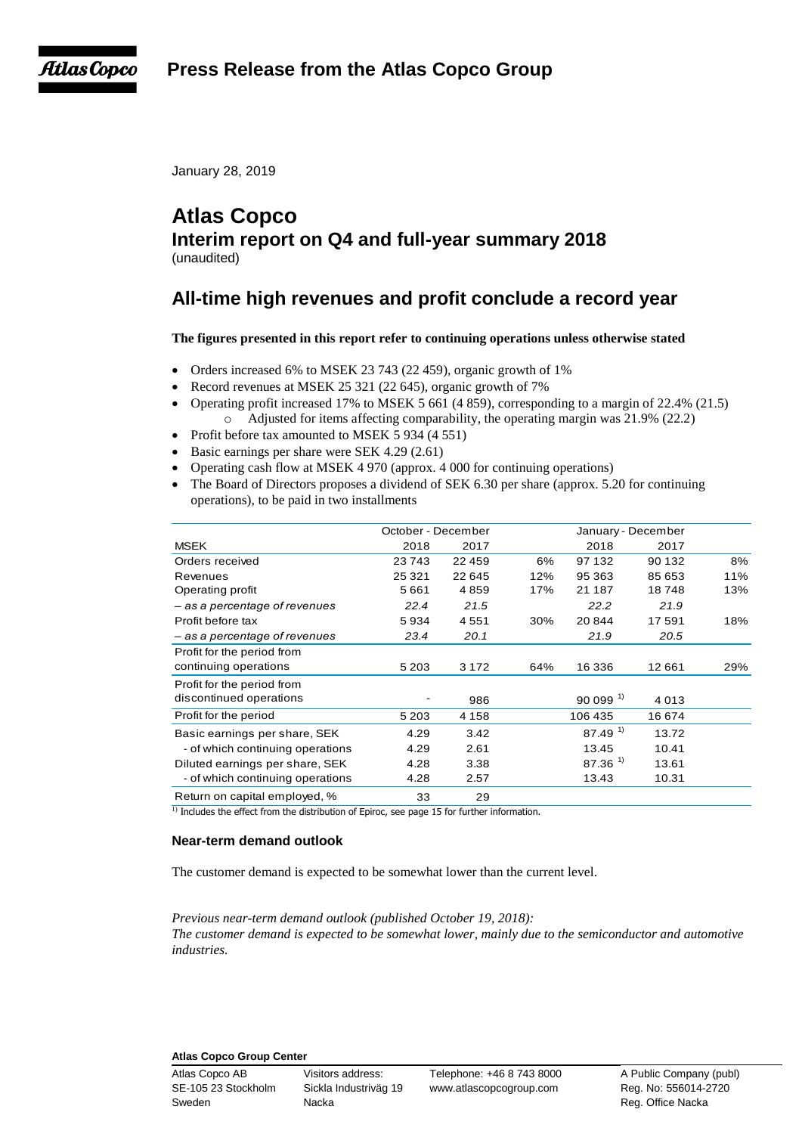**Press Release from the Atlas Copco Group**



January 28, 2019

# **Atlas Copco Interim report on Q4 and full-year summary 2018** (unaudited)

# **All-time high revenues and profit conclude a record year**

# **The figures presented in this report refer to continuing operations unless otherwise stated**

- Orders increased 6% to MSEK 23 743 (22 459), organic growth of 1%
- Record revenues at MSEK 25 321 (22 645), organic growth of 7%
- Operating profit increased 17% to MSEK 5 661 (4 859), corresponding to a margin of 22.4% (21.5) o Adjusted for items affecting comparability, the operating margin was 21.9% (22.2)
- Profit before tax amounted to MSEK 5 934 (4 551)
- Basic earnings per share were SEK 4.29 (2.61)
- Operating cash flow at MSEK 4 970 (approx. 4 000 for continuing operations)
- The Board of Directors proposes a dividend of SEK 6.30 per share (approx. 5.20 for continuing operations), to be paid in two installments

|                                  | October - December |         |     | January - December    |        |     |
|----------------------------------|--------------------|---------|-----|-----------------------|--------|-----|
| <b>MSEK</b>                      | 2018               | 2017    |     | 2018                  | 2017   |     |
| Orders received                  | 23743              | 22 459  | 6%  | 97 132                | 90 132 | 8%  |
| Revenues                         | 25 3 21            | 22 645  | 12% | 95 363                | 85 653 | 11% |
| Operating profit                 | 5661               | 4859    | 17% | 21 187                | 18748  | 13% |
| - as a percentage of revenues    | 22.4               | 21.5    |     | 22.2                  | 21.9   |     |
| Profit before tax                | 5934               | 4551    | 30% | 20844                 | 17591  | 18% |
| - as a percentage of revenues    | 23.4               | 20.1    |     | 21.9                  | 20.5   |     |
| Profit for the period from       |                    |         |     |                       |        |     |
| continuing operations            | 5 2 0 3            | 3 1 7 2 | 64% | 16 336                | 12 661 | 29% |
| Profit for the period from       |                    |         |     |                       |        |     |
| discontinued operations          |                    | 986     |     | $90099$ <sup>1)</sup> | 4013   |     |
| Profit for the period            | 5 2 0 3            | 4 1 5 8 |     | 106 435               | 16674  |     |
| Basic earnings per share, SEK    | 4.29               | 3.42    |     | $87.49$ <sup>1)</sup> | 13.72  |     |
| - of which continuing operations | 4.29               | 2.61    |     | 13.45                 | 10.41  |     |
| Diluted earnings per share, SEK  | 4.28               | 3.38    |     | 87.36 <sup>1</sup>    | 13.61  |     |
| - of which continuing operations | 4.28               | 2.57    |     | 13.43                 | 10.31  |     |
| Return on capital employed, %    | 33                 | 29      |     |                       |        |     |

# **Near-term demand outlook**

The customer demand is expected to be somewhat lower than the current level.

*Previous near-term demand outlook (published October 19, 2018):*

*The customer demand is expected to be somewhat lower, mainly due to the semiconductor and automotive industries.*

# **Atlas Copco Group Center**

Sweden **Nacka** Nacka Reg. Office Nacka

Atlas Copco AB Visitors address: Telephone: +46 8 743 8000 A Public Company (publ) SE-105 23 Stockholm Sickla Industriväg 19 www.atlascopcogroup.com Reg. No: 556014-2720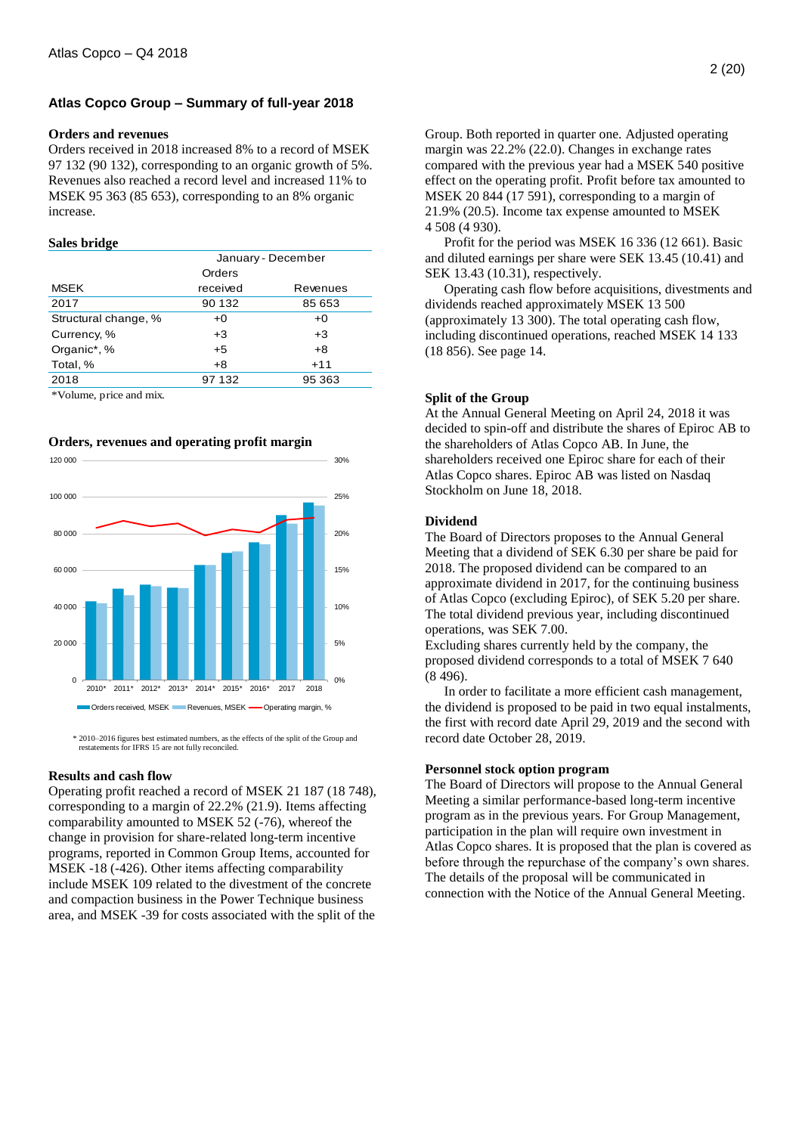# **Atlas Copco Group – Summary of full-year 2018**

#### **Orders and revenues**

Orders received in 2018 increased 8% to a record of MSEK 97 132 (90 132), corresponding to an organic growth of 5%. Revenues also reached a record level and increased 11% to MSEK 95 363 (85 653), corresponding to an 8% organic increase.

#### **Sales bridge**

|                      | January - December |          |  |  |
|----------------------|--------------------|----------|--|--|
|                      | Orders             |          |  |  |
| <b>MSEK</b>          | received           | Revenues |  |  |
| 2017                 | 90 132             | 85 653   |  |  |
| Structural change, % | $+0$               | $+0$     |  |  |
| Currency, %          | $+3$               | $+3$     |  |  |
| Organic*, %          | $+5$               | $+8$     |  |  |
| Total, %             | $+8$               | $+11$    |  |  |
| 2018                 | 97 132             | 95 363   |  |  |
|                      |                    |          |  |  |

\*Volume, price and mix.

**Orders, revenues and operating profit margin** 



 \* 2010–2016 figures best estimated numbers, as the effects of the split of the Group and restatements for IFRS 15 are not fully reconciled.

#### **Results and cash flow**

Operating profit reached a record of MSEK 21 187 (18 748), corresponding to a margin of 22.2% (21.9). Items affecting comparability amounted to MSEK 52 (-76), whereof the change in provision for share-related long-term incentive programs, reported in Common Group Items, accounted for MSEK -18 (-426). Other items affecting comparability include MSEK 109 related to the divestment of the concrete and compaction business in the Power Technique business area, and MSEK -39 for costs associated with the split of the Group. Both reported in quarter one. Adjusted operating margin was 22.2% (22.0). Changes in exchange rates compared with the previous year had a MSEK 540 positive effect on the operating profit. Profit before tax amounted to MSEK 20 844 (17 591), corresponding to a margin of 21.9% (20.5). Income tax expense amounted to MSEK 4 508 (4 930).

Profit for the period was MSEK 16 336 (12 661). Basic and diluted earnings per share were SEK 13.45 (10.41) and SEK 13.43 (10.31), respectively.

Operating cash flow before acquisitions, divestments and dividends reached approximately MSEK 13 500 (approximately 13 300). The total operating cash flow, including discontinued operations, reached MSEK 14 133 (18 856). See page 14.

#### **Split of the Group**

At the Annual General Meeting on April 24, 2018 it was decided to spin-off and distribute the shares of Epiroc AB to the shareholders of Atlas Copco AB. In June, the shareholders received one Epiroc share for each of their Atlas Copco shares. Epiroc AB was listed on Nasdaq Stockholm on June 18, 2018.

# **Dividend**

The Board of Directors proposes to the Annual General Meeting that a dividend of SEK 6.30 per share be paid for 2018. The proposed dividend can be compared to an approximate dividend in 2017, for the continuing business of Atlas Copco (excluding Epiroc), of SEK 5.20 per share. The total dividend previous year, including discontinued operations, was SEK 7.00.

Excluding shares currently held by the company, the proposed dividend corresponds to a total of MSEK 7 640 (8 496).

In order to facilitate a more efficient cash management, the dividend is proposed to be paid in two equal instalments, the first with record date April 29, 2019 and the second with record date October 28, 2019.

#### **Personnel stock option program**

The Board of Directors will propose to the Annual General Meeting a similar performance-based long-term incentive program as in the previous years. For Group Management, participation in the plan will require own investment in Atlas Copco shares. It is proposed that the plan is covered as before through the repurchase of the company's own shares. The details of the proposal will be communicated in connection with the Notice of the Annual General Meeting.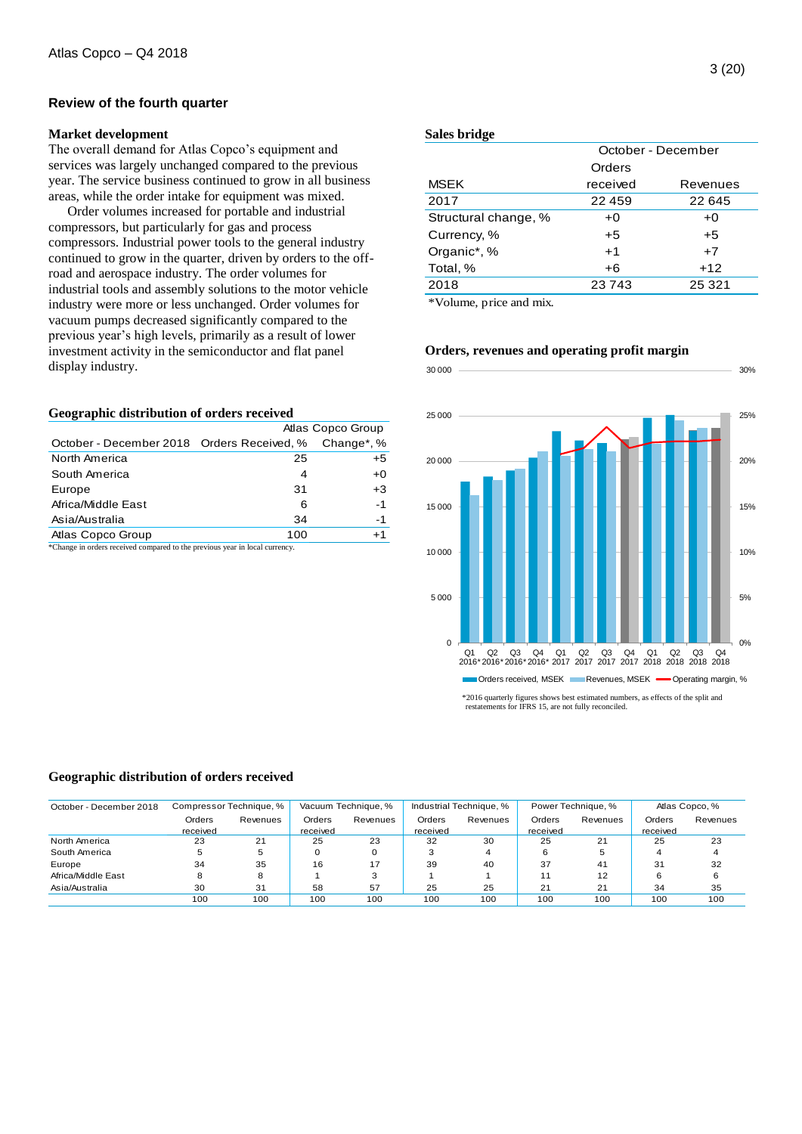## **Review of the fourth quarter**

#### **Market development**

The overall demand for Atlas Copco's equipment and services was largely unchanged compared to the previous year. The service business continued to grow in all business areas, while the order intake for equipment was mixed.

Order volumes increased for portable and industrial compressors, but particularly for gas and process compressors. Industrial power tools to the general industry continued to grow in the quarter, driven by orders to the offroad and aerospace industry. The order volumes for industrial tools and assembly solutions to the motor vehicle industry were more or less unchanged. Order volumes for vacuum pumps decreased significantly compared to the previous year's high levels, primarily as a result of lower investment activity in the semiconductor and flat panel display industry.

#### **Geographic distribution of orders received**

|                                            |     | Atlas Copco Group       |
|--------------------------------------------|-----|-------------------------|
| October - December 2018 Orders Received, % |     | Change <sup>*</sup> , % |
| North America                              | 25  | $+5$                    |
| South America                              | 4   | $+0$                    |
| Europe                                     | 31  | $+3$                    |
| Africa/Middle East                         | 6   | -1                      |
| Asia/Australia                             | 34  | -1                      |
| Atlas Copco Group                          | 100 | $+1$                    |

\*Change in orders received compared to the previous year in local currency.

#### **Sales bridge**

|                      | October - December |          |  |  |  |
|----------------------|--------------------|----------|--|--|--|
|                      | Orders             |          |  |  |  |
| <b>MSEK</b>          | received           | Revenues |  |  |  |
| 2017                 | 22459              | 22 645   |  |  |  |
| Structural change, % | +0                 | $+0$     |  |  |  |
| Currency, %          | $+5$               | $+5$     |  |  |  |
| Organic*, %          | $+1$               | $+7$     |  |  |  |
| Total, %             | $+6$               | $+12$    |  |  |  |
| 2018                 | 23743              | 25 321   |  |  |  |
|                      |                    |          |  |  |  |

\*Volume, price and mix.



# **Orders, revenues and operating profit margin**

 \*2016 quarterly figures shows best estimated numbers, as effects of the split and restatements for IFRS 15, are not fully reconciled.

#### **Geographic distribution of orders received**

| Geographic distribution of orders received |                    |                         |                    |                     |                    |                         |                    |                    |                    |                |
|--------------------------------------------|--------------------|-------------------------|--------------------|---------------------|--------------------|-------------------------|--------------------|--------------------|--------------------|----------------|
| October - December 2018                    |                    | Compressor Technique, % |                    | Vacuum Technique, % |                    | Industrial Technique, % |                    | Power Technique, % |                    | Atlas Copco, % |
|                                            | Orders<br>received | Revenues                | Orders<br>received | Revenues            | Orders<br>received | Revenues                | Orders<br>received | Revenues           | Orders<br>received | Revenues       |
| North America                              | 23                 | 21                      | 25                 | 23                  | 32                 | 30                      | 25                 | 21                 | 25                 | 23             |
| South America                              | 5                  | 5                       |                    |                     |                    | 4                       |                    | 5                  | 4                  |                |
| Europe                                     | 34                 | 35                      | 16                 | 17                  | 39                 | 40                      | 37                 | 41                 | 31                 | 32             |
| Africa/Middle East                         | 8                  | 8                       |                    | 3                   |                    |                         | 11                 | 12                 | 6                  | 6              |
| Asia/Australia                             | 30                 | 31                      | 58                 | 57                  | 25                 | 25                      | 21                 | 21                 | 34                 | 35             |
|                                            | 100                | 100                     | 100                | 100                 | 100                | 100                     | 100                | 100                | 100                | 100            |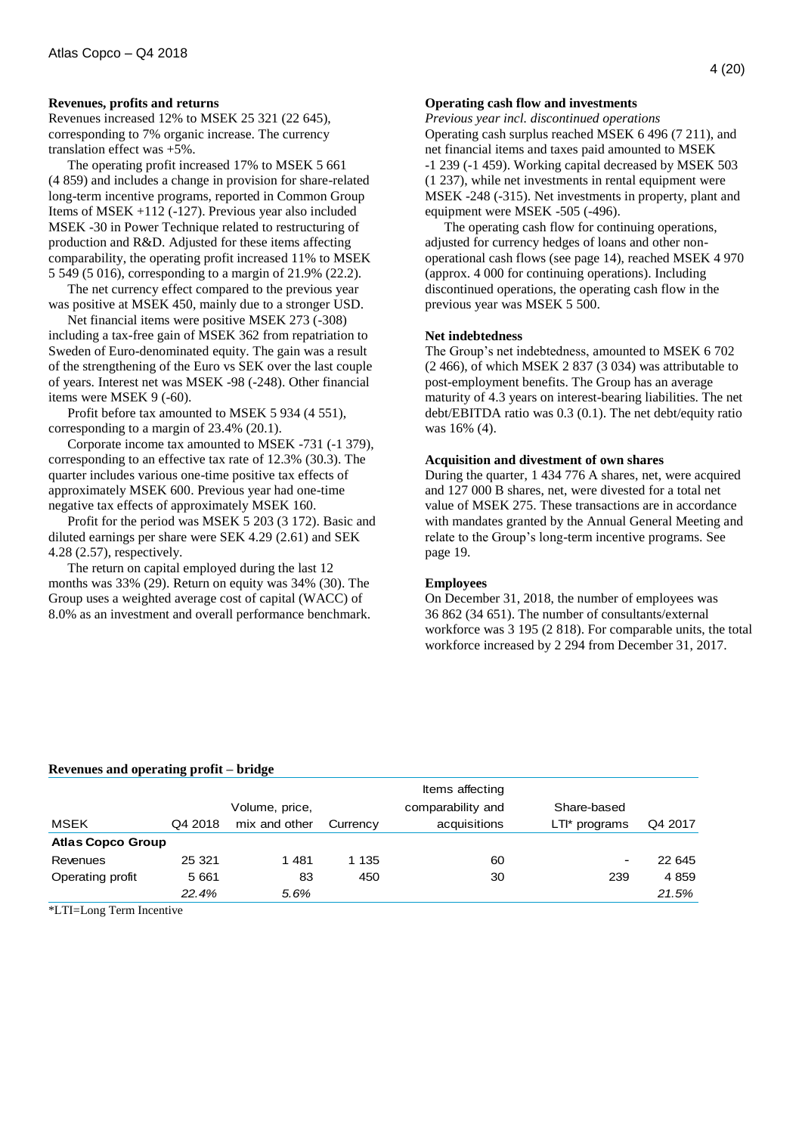#### **Revenues, profits and returns**

Revenues increased 12% to MSEK 25 321 (22 645), corresponding to 7% organic increase. The currency translation effect was +5%.

The operating profit increased 17% to MSEK 5 661 (4 859) and includes a change in provision for share-related long-term incentive programs, reported in Common Group Items of MSEK +112 (-127). Previous year also included MSEK -30 in Power Technique related to restructuring of production and R&D. Adjusted for these items affecting comparability, the operating profit increased 11% to MSEK 5 549 (5 016), corresponding to a margin of 21.9% (22.2).

The net currency effect compared to the previous year was positive at MSEK 450, mainly due to a stronger USD.

Net financial items were positive MSEK 273 (-308) including a tax-free gain of MSEK 362 from repatriation to Sweden of Euro-denominated equity. The gain was a result of the strengthening of the Euro vs SEK over the last couple of years. Interest net was MSEK -98 (-248). Other financial items were MSEK 9 (-60).

Profit before tax amounted to MSEK 5 934 (4 551), corresponding to a margin of 23.4% (20.1).

Corporate income tax amounted to MSEK -731 (-1 379), corresponding to an effective tax rate of 12.3% (30.3). The quarter includes various one-time positive tax effects of approximately MSEK 600. Previous year had one-time negative tax effects of approximately MSEK 160.

Profit for the period was MSEK 5 203 (3 172). Basic and diluted earnings per share were SEK 4.29 (2.61) and SEK 4.28 (2.57), respectively.

The return on capital employed during the last 12 months was 33% (29). Return on equity was 34% (30). The Group uses a weighted average cost of capital (WACC) of 8.0% as an investment and overall performance benchmark.

#### **Operating cash flow and investments**

*Previous year incl. discontinued operations* Operating cash surplus reached MSEK 6 496 (7 211), and net financial items and taxes paid amounted to MSEK -1 239 (-1 459). Working capital decreased by MSEK 503 (1 237), while net investments in rental equipment were MSEK -248 (-315). Net investments in property, plant and equipment were MSEK -505 (-496).

The operating cash flow for continuing operations, adjusted for currency hedges of loans and other nonoperational cash flows (see page 14), reached MSEK 4 970 (approx. 4 000 for continuing operations). Including discontinued operations, the operating cash flow in the previous year was MSEK 5 500.

### **Net indebtedness**

The Group's net indebtedness, amounted to MSEK 6 702 (2 466), of which MSEK 2 837 (3 034) was attributable to post-employment benefits. The Group has an average maturity of 4.3 years on interest-bearing liabilities. The net debt/EBITDA ratio was 0.3 (0.1). The net debt/equity ratio was 16% (4).

#### **Acquisition and divestment of own shares**

During the quarter, 1 434 776 A shares, net, were acquired and 127 000 B shares, net, were divested for a total net value of MSEK 275. These transactions are in accordance with mandates granted by the Annual General Meeting and relate to the Group's long-term incentive programs. See page 19.

#### **Employees**

On December 31, 2018, the number of employees was 36 862 (34 651). The number of consultants/external workforce was 3 195 (2 818). For comparable units, the total workforce increased by 2 294 from December 31, 2017.

# **Revenues and operating profit – bridge**

|                          |                |                                        | Items affecting   |               |         |
|--------------------------|----------------|----------------------------------------|-------------------|---------------|---------|
|                          | Volume, price, |                                        | comparability and | Share-based   |         |
| Q4 2018                  | mix and other  | Currency                               | acquisitions      | LTI* programs | Q4 2017 |
| <b>Atlas Copco Group</b> |                |                                        |                   |               |         |
| 25 3 21                  | 1481           | 1 1 3 5                                | 60                | -             | 22 645  |
| 5 6 6 1                  | 83             | 450                                    | 30                | 239           | 4 8 5 9 |
| 22.4%                    | 5.6%           |                                        |                   |               | 21.5%   |
|                          |                | Revenues and operating profit – bridge |                   |               |         |

\*LTI=Long Term Incentive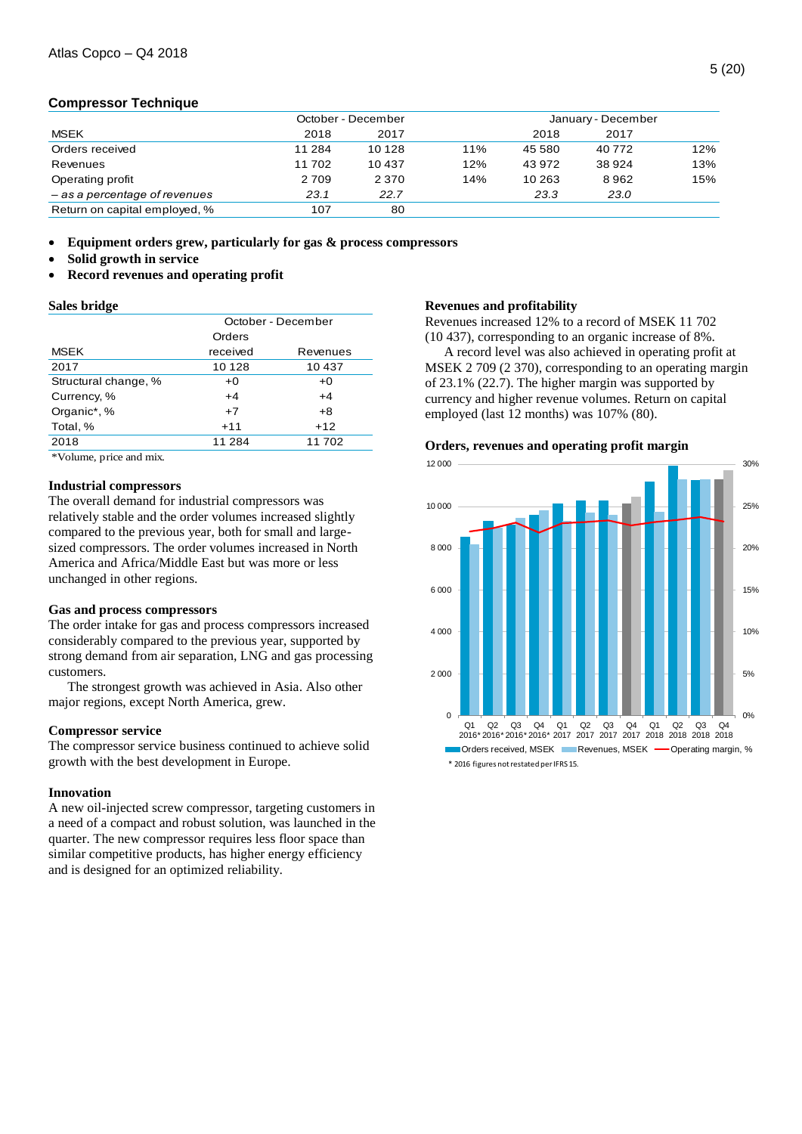# **Compressor Technique**

|                               |          | October - December |     | January - December |         |     |  |
|-------------------------------|----------|--------------------|-----|--------------------|---------|-----|--|
| <b>MSEK</b>                   | 2018     | 2017               |     | 2018               | 2017    |     |  |
| Orders received               | 11 2 8 4 | 10 128             | 11% | 45 580             | 40 772  | 12% |  |
| Revenues                      | 11702    | 10437              | 12% | 43 972             | 38 9 24 | 13% |  |
| Operating profit              | 2709     | 2 3 7 0            | 14% | 10 263             | 8962    | 15% |  |
| - as a percentage of revenues | 23.1     | 22.7               |     | 23.3               | 23.0    |     |  |
| Return on capital employed, % | 107      | 80                 |     |                    |         |     |  |
|                               |          |                    |     |                    |         |     |  |

**Equipment orders grew, particularly for gas & process compressors**

- **Solid growth in service**
- **Record revenues and operating profit**

#### **Sales bridge**

|                      | October - December |          |  |  |  |
|----------------------|--------------------|----------|--|--|--|
|                      | Orders             |          |  |  |  |
| <b>MSEK</b>          | received           | Revenues |  |  |  |
| 2017                 | 10 1 28            | 10 437   |  |  |  |
| Structural change, % | $+0$               | $+0$     |  |  |  |
| Currency, %          | $+4$               | $+4$     |  |  |  |
| Organic*, %          | $+7$               | $+8$     |  |  |  |
| Total, %             | $+11$              | $+12$    |  |  |  |
| 2018                 | 11 284             | 11702    |  |  |  |

\*Volume, price and mix.

#### **Industrial compressors**

The overall demand for industrial compressors was relatively stable and the order volumes increased slightly compared to the previous year, both for small and largesized compressors. The order volumes increased in North America and Africa/Middle East but was more or less unchanged in other regions.

#### **Gas and process compressors**

The order intake for gas and process compressors increased considerably compared to the previous year, supported by strong demand from air separation, LNG and gas processing customers.

The strongest growth was achieved in Asia. Also other major regions, except North America, grew.

#### **Compressor service**

The compressor service business continued to achieve solid growth with the best development in Europe.

#### **Innovation**

A new oil-injected screw compressor, targeting customers in a need of a compact and robust solution, was launched in the quarter. The new compressor requires less floor space than similar competitive products, has higher energy efficiency and is designed for an optimized reliability.

#### **Revenues and profitability**

Revenues increased 12% to a record of MSEK 11 702 (10 437), corresponding to an organic increase of 8%.

A record level was also achieved in operating profit at MSEK 2 709 (2 370), corresponding to an operating margin of 23.1% (22.7). The higher margin was supported by currency and higher revenue volumes. Return on capital employed (last 12 months) was 107% (80).

#### **Orders, revenues and operating profit margin**

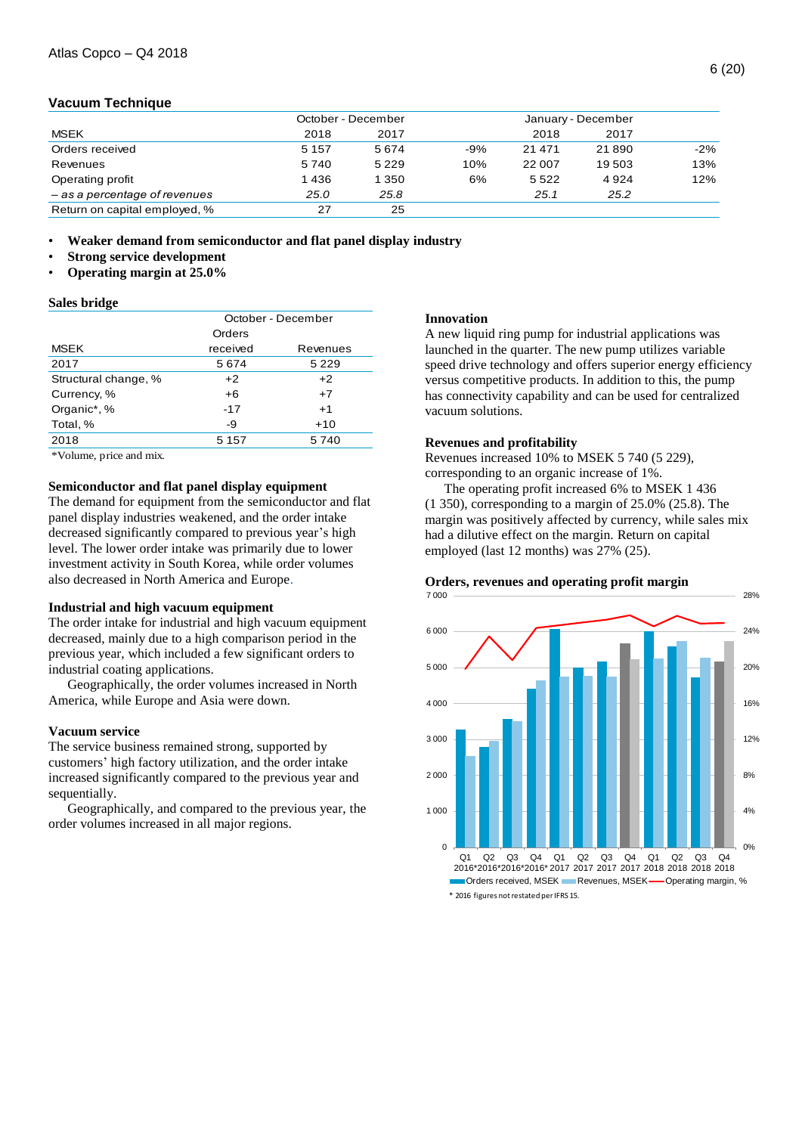#### **Vacuum Technique**

|                               | October - December |         |       |          | January - December |        |
|-------------------------------|--------------------|---------|-------|----------|--------------------|--------|
| <b>MSEK</b>                   | 2018               | 2017    |       | 2018     | 2017               |        |
| Orders received               | 5 1 5 7            | 5 6 7 4 | $-9%$ | 21 4 7 1 | 21890              | $-2\%$ |
| Revenues                      | 5740               | 5 2 2 9 | 10%   | 22 007   | 19 503             | 13%    |
| Operating profit              | 1436               | 1 350   | 6%    | 5 5 2 2  | 4 9 2 4            | 12%    |
| - as a percentage of revenues | 25.0               | 25.8    |       | 25.1     | 25.2               |        |
| Return on capital employed, % | 27                 | 25      |       |          |                    |        |
|                               |                    |         |       |          |                    |        |

• **Weaker demand from semiconductor and flat panel display industry**

- **Strong service development**
- **Operating margin at 25.0%**

#### **Sales bridge**

|                      | October - December |          |  |  |  |
|----------------------|--------------------|----------|--|--|--|
|                      | Orders             |          |  |  |  |
| <b>MSEK</b>          | received           | Revenues |  |  |  |
| 2017                 | 5674               | 5 2 2 9  |  |  |  |
| Structural change, % | $+2$               | $+2$     |  |  |  |
| Currency, %          | $+6$               | $+7$     |  |  |  |
| Organic*, %          | $-17$              | $+1$     |  |  |  |
| Total, %             | -9                 | $+10$    |  |  |  |
| 2018                 | 5 1 5 7            | 5740     |  |  |  |

\*Volume, price and mix.

#### **Semiconductor and flat panel display equipment**

The demand for equipment from the semiconductor and flat panel display industries weakened, and the order intake decreased significantly compared to previous year's high level. The lower order intake was primarily due to lower investment activity in South Korea, while order volumes also decreased in North America and Europe.

#### **Industrial and high vacuum equipment**

The order intake for industrial and high vacuum equipment decreased, mainly due to a high comparison period in the previous year, which included a few significant orders to industrial coating applications.

Geographically, the order volumes increased in North America, while Europe and Asia were down.

#### **Vacuum service**

The service business remained strong, supported by customers' high factory utilization, and the order intake increased significantly compared to the previous year and sequentially.

Geographically, and compared to the previous year, the order volumes increased in all major regions.

#### **Innovation**

A new liquid ring pump for industrial applications was launched in the quarter. The new pump utilizes variable speed drive technology and offers superior energy efficiency versus competitive products. In addition to this, the pump has connectivity capability and can be used for centralized vacuum solutions.

#### **Revenues and profitability**

Revenues increased 10% to MSEK 5 740 (5 229), corresponding to an organic increase of 1%.

The operating profit increased 6% to MSEK 1 436 (1 350), corresponding to a margin of 25.0% (25.8). The margin was positively affected by currency, while sales mix had a dilutive effect on the margin. Return on capital employed (last 12 months) was 27% (25).

#### **Orders, revenues and operating profit margin**

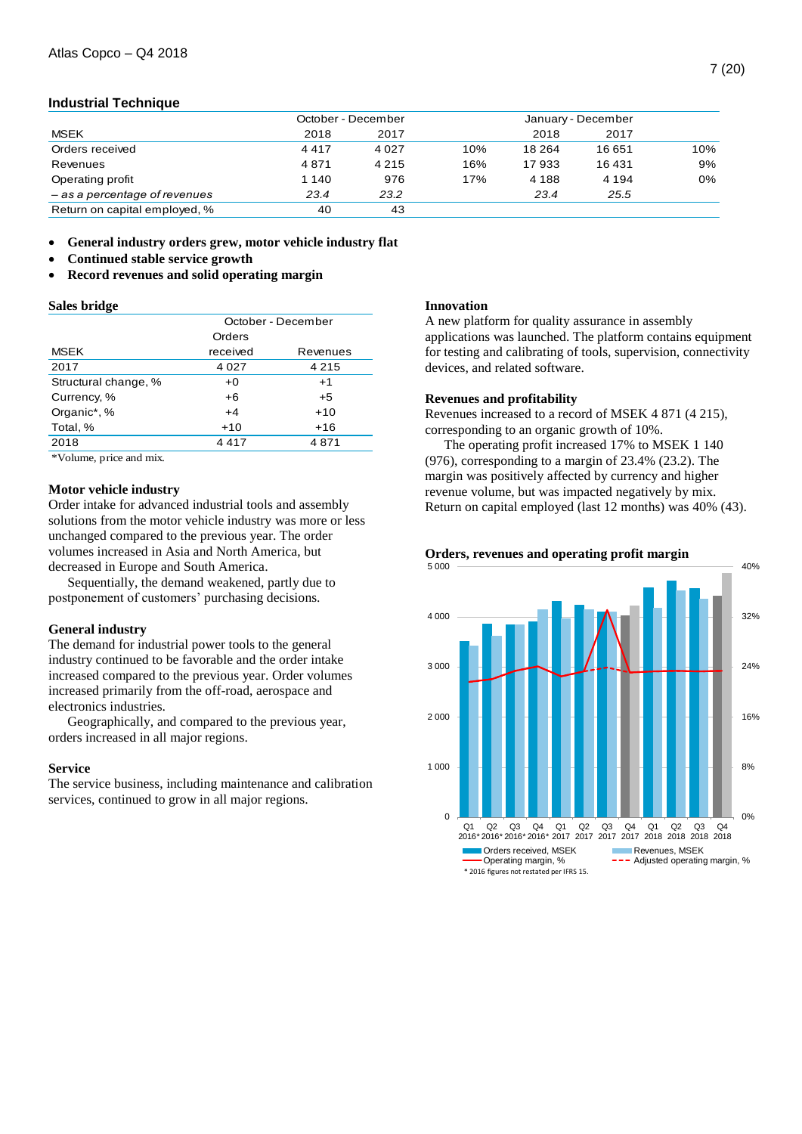## **Industrial Technique**

|                               | October - December |         | January - December |         |         |     |
|-------------------------------|--------------------|---------|--------------------|---------|---------|-----|
| <b>MSEK</b>                   | 2018               | 2017    |                    | 2018    | 2017    |     |
| Orders received               | 4417               | 4 0 2 7 | 10%                | 18 2 64 | 16 651  | 10% |
| Revenues                      | 4871               | 4 2 1 5 | 16%                | 17933   | 16 4 31 | 9%  |
| Operating profit              | 1 140              | 976     | 17%                | 4 1 8 8 | 4 1 9 4 | 0%  |
| - as a percentage of revenues | 23.4               | 23.2    |                    | 23.4    | 25.5    |     |
| Return on capital employed, % | 40                 | 43      |                    |         |         |     |

**General industry orders grew, motor vehicle industry flat**

- **Continued stable service growth**
- **Record revenues and solid operating margin**

#### **Sales bridge**

|                      | October - December |          |  |  |  |
|----------------------|--------------------|----------|--|--|--|
|                      | Orders             |          |  |  |  |
| <b>MSEK</b>          | received           | Revenues |  |  |  |
| 2017                 | 4 0 2 7            | 4 2 1 5  |  |  |  |
| Structural change, % | $+0$               | $+1$     |  |  |  |
| Currency, %          | $+6$               | $+5$     |  |  |  |
| Organic*, %          | $+4$               | $+10$    |  |  |  |
| Total, %             | $+10$              | $+16$    |  |  |  |
| 2018                 | 4417               | 4871     |  |  |  |

\*Volume, price and mix.

#### **Motor vehicle industry**

Order intake for advanced industrial tools and assembly solutions from the motor vehicle industry was more or less unchanged compared to the previous year. The order volumes increased in Asia and North America, but decreased in Europe and South America.

Sequentially, the demand weakened, partly due to postponement of customers' purchasing decisions.

#### **General industry**

The demand for industrial power tools to the general industry continued to be favorable and the order intake increased compared to the previous year. Order volumes increased primarily from the off-road, aerospace and electronics industries.

Geographically, and compared to the previous year, orders increased in all major regions.

#### **Service**

The service business, including maintenance and calibration services, continued to grow in all major regions.

# **Innovation**

A new platform for quality assurance in assembly applications was launched. The platform contains equipment for testing and calibrating of tools, supervision, connectivity devices, and related software.

#### **Revenues and profitability**

Revenues increased to a record of MSEK 4 871 (4 215), corresponding to an organic growth of 10%.

The operating profit increased 17% to MSEK 1 140 (976), corresponding to a margin of 23.4% (23.2). The margin was positively affected by currency and higher revenue volume, but was impacted negatively by mix. Return on capital employed (last 12 months) was 40% (43).

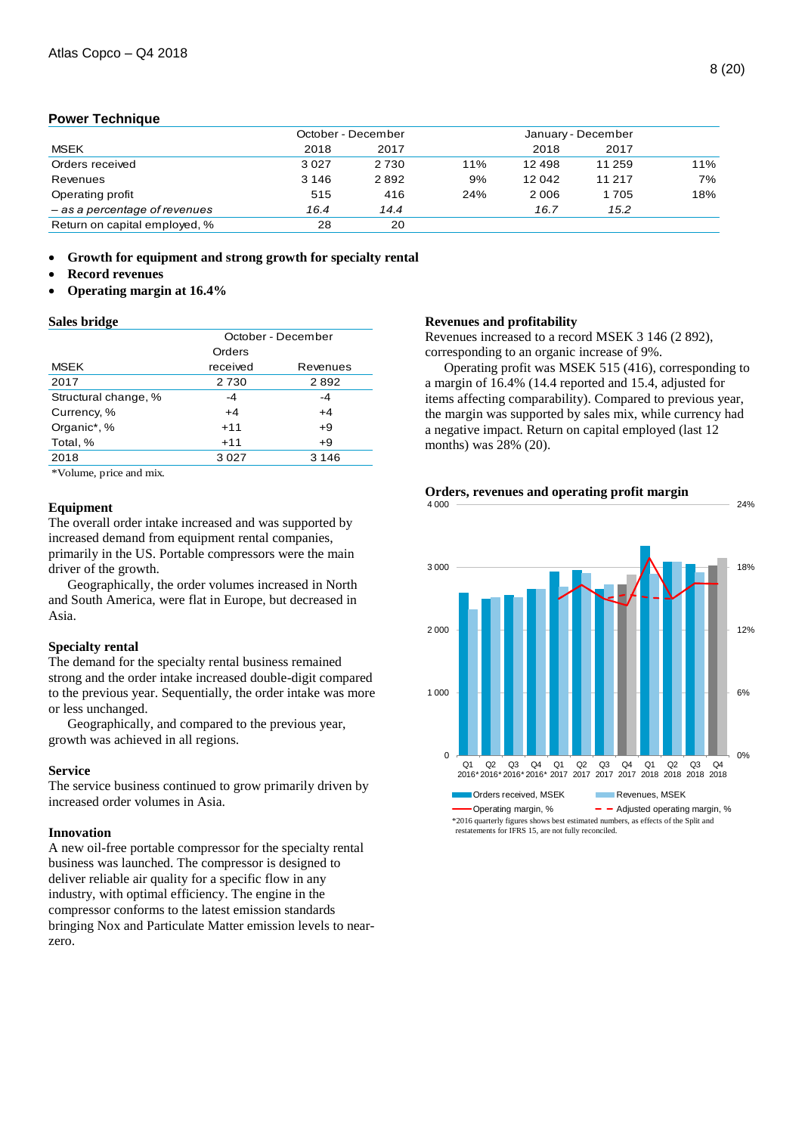#### **Power Technique**

|                               |         | October - December |     | January - December |        |     |
|-------------------------------|---------|--------------------|-----|--------------------|--------|-----|
| <b>MSEK</b>                   | 2018    | 2017               |     | 2018               | 2017   |     |
| Orders received               | 3027    | 2 7 3 0            | 11% | 12 4 9 8           | 11 259 | 11% |
| Revenues                      | 3 1 4 6 | 2892               | 9%  | 12042              | 11 217 | 7%  |
| Operating profit              | 515     | 416                | 24% | 2006               | 1705   | 18% |
| - as a percentage of revenues | 16.4    | 14.4               |     | 16.7               | 15.2   |     |
| Return on capital employed, % | 28      | 20                 |     |                    |        |     |

**Growth for equipment and strong growth for specialty rental** 

- **Record revenues**
- **Operating margin at 16.4%**

#### **Sales bridge**

|                      | October - December |          |  |  |  |
|----------------------|--------------------|----------|--|--|--|
|                      | Orders             |          |  |  |  |
| <b>MSEK</b>          | received           | Revenues |  |  |  |
| 2017                 | 2730               | 2892     |  |  |  |
| Structural change, % | -4                 | $-4$     |  |  |  |
| Currency, %          | $+4$               | $+4$     |  |  |  |
| Organic*, %          | $+11$              | $+9$     |  |  |  |
| Total, %             | $+11$              | $+9$     |  |  |  |
| 2018                 | 3027               | 3 1 4 6  |  |  |  |
|                      |                    |          |  |  |  |

\*Volume, price and mix.

#### **Equipment**

The overall order intake increased and was supported by increased demand from equipment rental companies, primarily in the US. Portable compressors were the main driver of the growth.

Geographically, the order volumes increased in North and South America, were flat in Europe, but decreased in Asia.

#### **Specialty rental**

The demand for the specialty rental business remained strong and the order intake increased double-digit compared to the previous year. Sequentially, the order intake was more or less unchanged.

Geographically, and compared to the previous year, growth was achieved in all regions.

#### **Service**

The service business continued to grow primarily driven by increased order volumes in Asia.

### **Innovation**

A new oil-free portable compressor for the specialty rental business was launched. The compressor is designed to deliver reliable air quality for a specific flow in any industry, with optimal efficiency. The engine in the compressor conforms to the latest emission standards bringing Nox and Particulate Matter emission levels to nearzero.

#### **Revenues and profitability**

Revenues increased to a record MSEK 3 146 (2 892), corresponding to an organic increase of 9%.

Operating profit was MSEK 515 (416), corresponding to a margin of 16.4% (14.4 reported and 15.4, adjusted for items affecting comparability). Compared to previous year, the margin was supported by sales mix, while currency had a negative impact. Return on capital employed (last 12 months) was 28% (20).



**Orders, revenues and operating profit margin** 4 000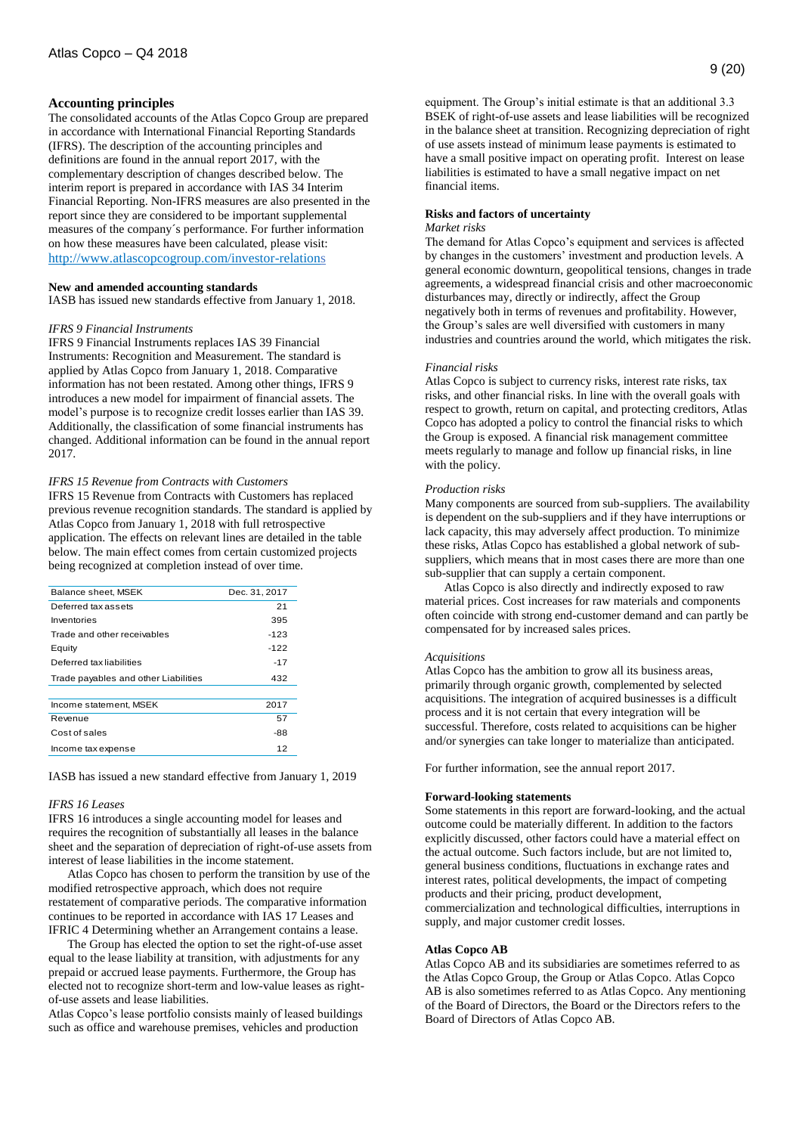#### **Accounting principles**

The consolidated accounts of the Atlas Copco Group are prepared in accordance with International Financial Reporting Standards (IFRS). The description of the accounting principles and definitions are found in the annual report 2017, with the complementary description of changes described below. The interim report is prepared in accordance with IAS 34 Interim Financial Reporting. Non-IFRS measures are also presented in the report since they are considered to be important supplemental measures of the company´s performance. For further information on how these measures have been calculated, please visit: <http://www.atlascopcogroup.com/investor-relations>

#### **New and amended accounting standards**

IASB has issued new standards effective from January 1, 2018.

#### *IFRS 9 Financial Instruments*

IFRS 9 Financial Instruments replaces IAS 39 Financial Instruments: Recognition and Measurement. The standard is applied by Atlas Copco from January 1, 2018. Comparative information has not been restated. Among other things, IFRS 9 introduces a new model for impairment of financial assets. The model's purpose is to recognize credit losses earlier than IAS 39. Additionally, the classification of some financial instruments has changed. Additional information can be found in the annual report 2017.

#### *IFRS 15 Revenue from Contracts with Customers*

IFRS 15 Revenue from Contracts with Customers has replaced previous revenue recognition standards. The standard is applied by Atlas Copco from January 1, 2018 with full retrospective application. The effects on relevant lines are detailed in the table below. The main effect comes from certain customized projects being recognized at completion instead of over time.

| Dec. 31, 2017 |
|---------------|
| 21            |
| 395           |
| -123          |
| $-122$        |
| $-17$         |
| 432           |
|               |
| 2017          |
| 57            |
| -88           |
| 12            |
|               |

IASB has issued a new standard effective from January 1, 2019

#### *IFRS 16 Leases*

IFRS 16 introduces a single accounting model for leases and requires the recognition of substantially all leases in the balance sheet and the separation of depreciation of right-of-use assets from interest of lease liabilities in the income statement.

Atlas Copco has chosen to perform the transition by use of the modified retrospective approach, which does not require restatement of comparative periods. The comparative information continues to be reported in accordance with IAS 17 Leases and IFRIC 4 Determining whether an Arrangement contains a lease.

The Group has elected the option to set the right-of-use asset equal to the lease liability at transition, with adjustments for any prepaid or accrued lease payments. Furthermore, the Group has elected not to recognize short-term and low-value leases as rightof-use assets and lease liabilities.

Atlas Copco's lease portfolio consists mainly of leased buildings such as office and warehouse premises, vehicles and production

equipment. The Group's initial estimate is that an additional 3.3 BSEK of right-of-use assets and lease liabilities will be recognized in the balance sheet at transition. Recognizing depreciation of right of use assets instead of minimum lease payments is estimated to have a small positive impact on operating profit. Interest on lease liabilities is estimated to have a small negative impact on net financial items.

#### **Risks and factors of uncertainty**

#### *Market risks*

The demand for Atlas Copco's equipment and services is affected by changes in the customers' investment and production levels. A general economic downturn, geopolitical tensions, changes in trade agreements, a widespread financial crisis and other macroeconomic disturbances may, directly or indirectly, affect the Group negatively both in terms of revenues and profitability. However, the Group's sales are well diversified with customers in many industries and countries around the world, which mitigates the risk.

#### *Financial risks*

Atlas Copco is subject to currency risks, interest rate risks, tax risks, and other financial risks. In line with the overall goals with respect to growth, return on capital, and protecting creditors, Atlas Copco has adopted a policy to control the financial risks to which the Group is exposed. A financial risk management committee meets regularly to manage and follow up financial risks, in line with the policy.

#### *Production risks*

Many components are sourced from sub-suppliers. The availability is dependent on the sub-suppliers and if they have interruptions or lack capacity, this may adversely affect production. To minimize these risks, Atlas Copco has established a global network of subsuppliers, which means that in most cases there are more than one sub-supplier that can supply a certain component.

Atlas Copco is also directly and indirectly exposed to raw material prices. Cost increases for raw materials and components often coincide with strong end-customer demand and can partly be compensated for by increased sales prices.

#### *Acquisitions*

Atlas Copco has the ambition to grow all its business areas, primarily through organic growth, complemented by selected acquisitions. The integration of acquired businesses is a difficult process and it is not certain that every integration will be successful. Therefore, costs related to acquisitions can be higher and/or synergies can take longer to materialize than anticipated.

For further information, see the annual report 2017.

#### **Forward-looking statements**

Some statements in this report are forward-looking, and the actual outcome could be materially different. In addition to the factors explicitly discussed, other factors could have a material effect on the actual outcome. Such factors include, but are not limited to, general business conditions, fluctuations in exchange rates and interest rates, political developments, the impact of competing products and their pricing, product development, commercialization and technological difficulties, interruptions in supply, and major customer credit losses.

#### **Atlas Copco AB**

Atlas Copco AB and its subsidiaries are sometimes referred to as the Atlas Copco Group, the Group or Atlas Copco. Atlas Copco AB is also sometimes referred to as Atlas Copco. Any mentioning of the Board of Directors, the Board or the Directors refers to the Board of Directors of Atlas Copco AB.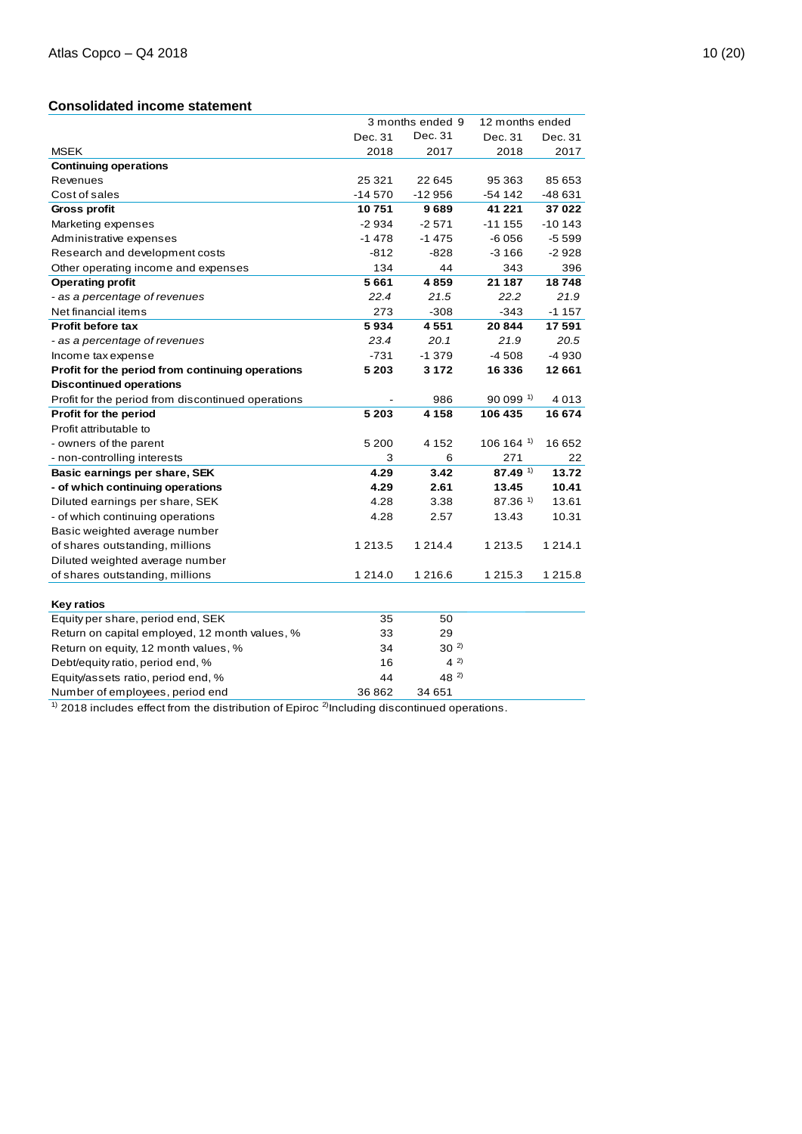# **Consolidated income statement**

|                                                    |            | 3 months ended 9 | 12 months ended       |             |
|----------------------------------------------------|------------|------------------|-----------------------|-------------|
|                                                    | Dec. 31    | Dec. 31          | Dec. 31               | Dec. 31     |
| <b>MSEK</b>                                        | 2018       | 2017             | 2018                  | 2017        |
| <b>Continuing operations</b>                       |            |                  |                       |             |
| Revenues                                           | 25 3 21    | 22 645           | 95 363                | 85 653      |
| Cost of sales                                      | $-14570$   | $-12956$         | -54 142               | -48 631     |
| Gross profit                                       | 10751      | 9689             | 41 221                | 37022       |
| Marketing expenses                                 | $-2934$    | $-2571$          | $-11155$              | $-10143$    |
| Administrative expenses                            | $-1478$    | $-1475$          | -6056                 | $-5599$     |
| Research and development costs                     | $-812$     | $-828$           | -3 166                | $-2928$     |
| Other operating income and expenses                | 134        | 44               | 343                   | 396         |
| <b>Operating profit</b>                            | 5661       | 4859             | 21 187                | 18748       |
| - as a percentage of revenues                      | 22.4       | 21.5             | 22.2                  | 21.9        |
| Net financial items                                | 273        | $-308$           | $-343$                | $-1157$     |
| <b>Profit before tax</b>                           | 5934       | 4551             | 20844                 | 17 591      |
| - as a percentage of revenues                      | 23.4       | 20.1             | 21.9                  | 20.5        |
| Income tax expense                                 | $-731$     | $-1.379$         | $-4508$               | -4 930      |
| Profit for the period from continuing operations   | 5 2 0 3    | 3 1 7 2          | 16 336                | 12661       |
| <b>Discontinued operations</b>                     |            |                  |                       |             |
| Profit for the period from discontinued operations |            | 986              | $90099$ <sup>1)</sup> | 4013        |
| Profit for the period                              | 5 2 0 3    | 4 1 5 8          | 106 435               | 16 674      |
| Profit attributable to                             |            |                  |                       |             |
| - owners of the parent                             | 5 200      | 4 1 5 2          | 106 164 1)            | 16 652      |
| - non-controlling interests                        | 3          | 6                | 271                   | 22          |
| Basic earnings per share, SEK                      | 4.29       | 3.42             | $87.49$ <sup>1)</sup> | 13.72       |
| - of which continuing operations                   | 4.29       | 2.61             | 13.45                 | 10.41       |
| Diluted earnings per share, SEK                    | 4.28       | 3.38             | $87.36$ <sup>1)</sup> | 13.61       |
| - of which continuing operations                   | 4.28       | 2.57             | 13.43                 | 10.31       |
| Basic weighted average number                      |            |                  |                       |             |
| of shares outstanding, millions                    | 1 2 1 3 .5 | 1 2 1 4 .4       | 1 2 1 3 . 5           | 1 2 1 4 . 1 |
| Diluted weighted average number                    |            |                  |                       |             |
| of shares outstanding, millions                    | 1 2 1 4 .0 | 1 2 1 6 . 6      | 1 215.3               | 1 215.8     |
|                                                    |            |                  |                       |             |
| <b>Key ratios</b>                                  |            |                  |                       |             |
| Equity per share, period end, SEK                  | 35         | 50               |                       |             |
| Return on capital employed, 12 month values, %     | 33         | 29               |                       |             |
| Return on equity, 12 month values, %               | 34         | $30^{2}$         |                       |             |
| Debt/equity ratio, period end, %                   | 16         | $4^{2}$          |                       |             |
| Equity/assets ratio, period end, %                 | 44         | $48^{2}$         |                       |             |
| Number of employees, period end                    | 36862      | 34 651           |                       |             |

 $1)$  2018 includes effect from the distribution of Epiroc  $2$  Including discontinued operations.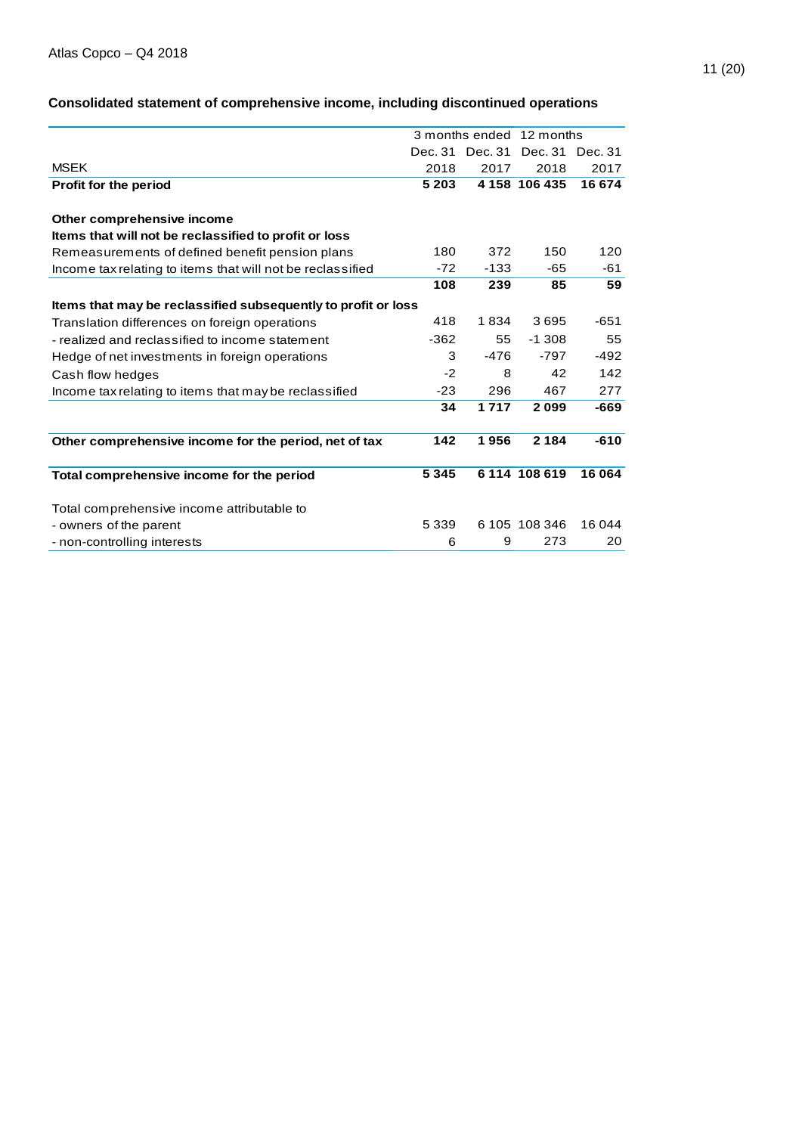# 11 (20)

# **Consolidated statement of comprehensive income, including discontinued operations**

|                                                               |         |                 | 3 months ended 12 months |         |
|---------------------------------------------------------------|---------|-----------------|--------------------------|---------|
|                                                               |         | Dec. 31 Dec. 31 | Dec. 31                  | Dec. 31 |
| <b>MSEK</b>                                                   | 2018    | 2017            | 2018                     | 2017    |
| Profit for the period                                         | 5 2 0 3 |                 | 4 158 106 435            | 16 674  |
| Other comprehensive income                                    |         |                 |                          |         |
| Items that will not be reclassified to profit or loss         |         |                 |                          |         |
| Remeasurements of defined benefit pension plans               | 180     | 372             | 150                      | 120     |
| Income tax relating to items that will not be reclassified    | $-72$   | $-133$          | -65                      | -61     |
|                                                               | 108     | 239             | 85                       | 59      |
| Items that may be reclassified subsequently to profit or loss |         |                 |                          |         |
| Translation differences on foreign operations                 | 418     | 1834            | 3695                     | $-651$  |
| - realized and reclassified to income statement               | $-362$  | 55              | $-1.308$                 | 55      |
| Hedge of net investments in foreign operations                | 3       | $-476$          | $-797$                   | $-492$  |
| Cash flow hedges                                              | $-2$    | 8               | 42                       | 142     |
| Income tax relating to items that may be reclassified         | $-23$   | 296             | 467                      | 277     |
|                                                               | 34      | 1717            | 2099                     | $-669$  |
| Other comprehensive income for the period, net of tax         | 142     | 1956            | 2 1 8 4                  | $-610$  |
| Total comprehensive income for the period                     | 5345    |                 | 6 114 108 619            | 16 064  |
| Total comprehensive income attributable to                    |         |                 |                          |         |
| - owners of the parent                                        | 5 3 3 9 |                 | 6 105 108 346            | 16 044  |
| - non-controlling interests                                   | 6       | 9               | 273                      | 20      |
|                                                               |         |                 |                          |         |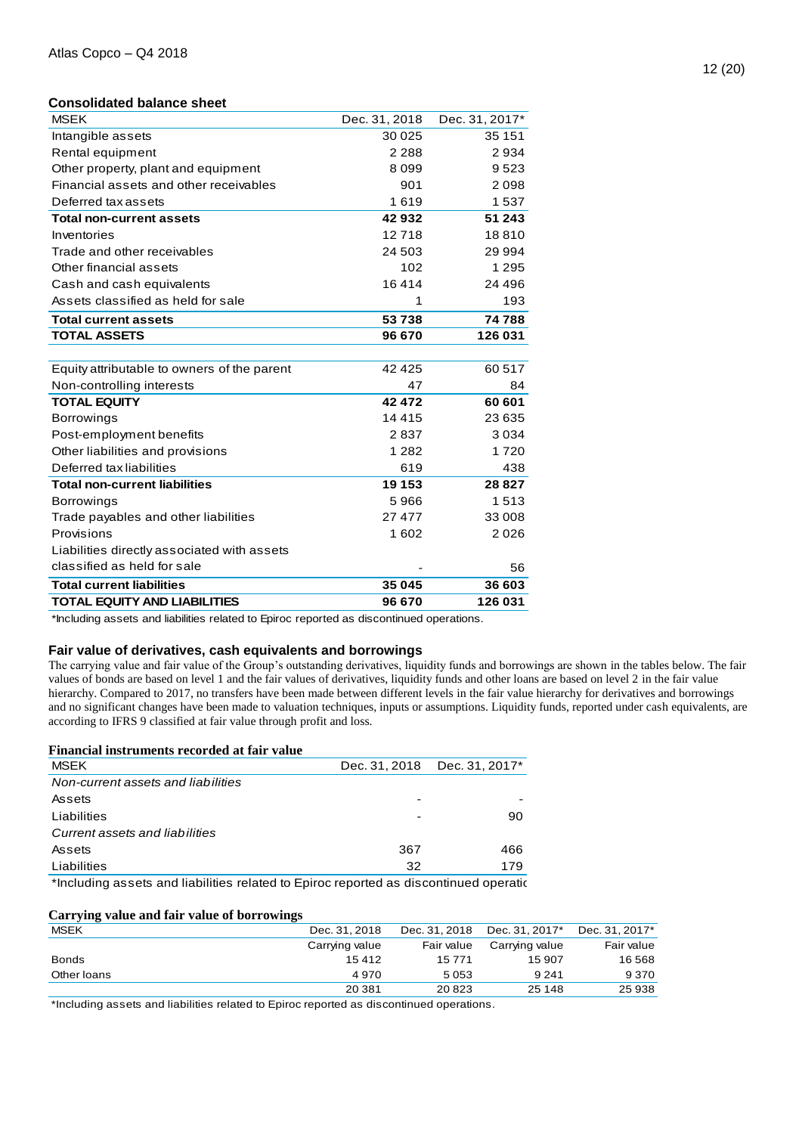#### **Consolidated balance sheet**

| <b>MSEK</b>                                 | Dec. 31, 2018 | Dec. 31, 2017* |
|---------------------------------------------|---------------|----------------|
| Intangible assets                           | 30 0 25       | 35 151         |
| Rental equipment                            | 2 2 8 8       | 2934           |
| Other property, plant and equipment         | 8099          | 9523           |
| Financial assets and other receivables      | 901           | 2098           |
| Deferred tax assets                         | 1619          | 1537           |
| <b>Total non-current assets</b>             | 42932         | 51 243         |
| Inventories                                 | 12718         | 18810          |
| Trade and other receivables                 | 24 503        | 29 994         |
| Other financial assets                      | 102           | 1 2 9 5        |
| Cash and cash equivalents                   | 16414         | 24 4 9 6       |
| Assets classified as held for sale          | 1             | 193            |
| <b>Total current assets</b>                 | 53738         | 74 788         |
| <b>TOTAL ASSETS</b>                         | 96 670        | 126 031        |
|                                             |               |                |
| Equity attributable to owners of the parent | 42 4 25       | 60 517         |
| Non-controlling interests                   | 47            | 84             |
| <b>TOTAL EQUITY</b>                         | 42 472        | 60 601         |
| <b>Borrowings</b>                           | 14 4 15       | 23 635         |
| Post-employment benefits                    | 2837          | 3034           |
| Other liabilities and provisions            | 1 2 8 2       | 1720           |
| Deferred tax liabilities                    | 619           | 438            |
| <b>Total non-current liabilities</b>        | 19 153        | 28 8 27        |
| <b>Borrowings</b>                           | 5966          | 1513           |
| Trade payables and other liabilities        | 27 477        | 33 008         |
| Provisions                                  | 1602          | 2026           |
| Liabilities directly associated with assets |               |                |
| classified as held for sale                 |               | 56             |
| <b>Total current liabilities</b>            | 35 045        | 36 603         |
| <b>TOTAL EQUITY AND LIABILITIES</b>         | 96 670        | 126 031        |

\*Including assets and liabilities related to Epiroc reported as discontinued operations.

### **Fair value of derivatives, cash equivalents and borrowings**

The carrying value and fair value of the Group's outstanding derivatives, liquidity funds and borrowings are shown in the tables below. The fair values of bonds are based on level 1 and the fair values of derivatives, liquidity funds and other loans are based on level 2 in the fair value hierarchy. Compared to 2017, no transfers have been made between different levels in the fair value hierarchy for derivatives and borrowings and no significant changes have been made to valuation techniques, inputs or assumptions. Liquidity funds, reported under cash equivalents, are according to IFRS 9 classified at fair value through profit and loss.

#### **Financial instruments recorded at fair value**

| <b>MSEK</b>                                                                           | Dec. 31, 2018 | Dec. 31, 2017* |
|---------------------------------------------------------------------------------------|---------------|----------------|
| Non-current assets and liabilities                                                    |               |                |
| Assets                                                                                |               |                |
| Liabilities                                                                           |               | 90             |
| Current assets and liabilities                                                        |               |                |
| Assets                                                                                | 367           | 466            |
| Liabilities                                                                           | 32            | 179            |
| *Including assets and liabilities related to Epiroc reported as discontinued operatic |               |                |

#### **Carrying value and fair value of borrowings**

| <b>MSEK</b>  | Dec. 31, 2018  | Dec. 31, 2018 | Dec. 31, 2017* | Dec. 31, 2017* |
|--------------|----------------|---------------|----------------|----------------|
|              | Carrying value | Fair value    | Carrying value | Fair value     |
| <b>Bonds</b> | 15412          | 15771         | 15 907         | 16 568         |
| Other loans  | 4970           | 5053          | 9 2 4 1        | 9 3 7 0        |
|              | 20 381         | 20 823        | 25 148         | 25938          |

\*Including assets and liabilities related to Epiroc reported as discontinued operations.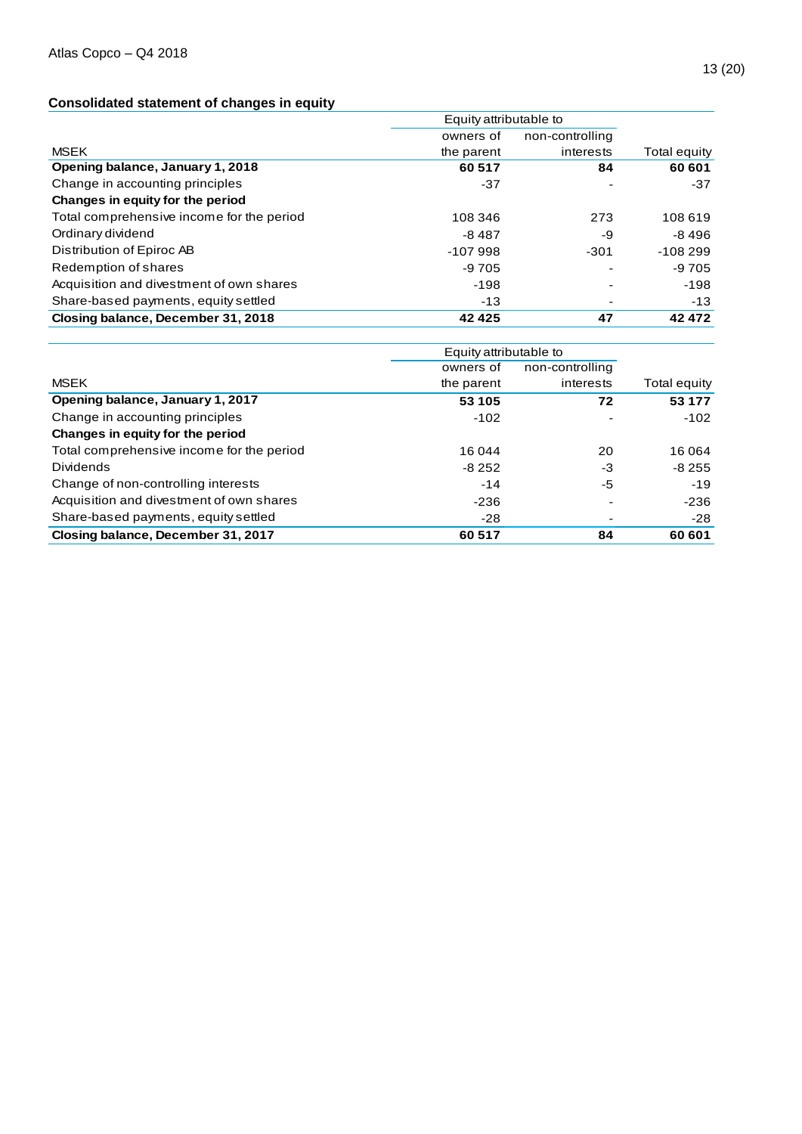# **Consolidated statement of changes in equity**

|                                           | Equity attributable to |                 |              |  |
|-------------------------------------------|------------------------|-----------------|--------------|--|
|                                           | owners of              | non-controlling |              |  |
| <b>MSEK</b>                               | the parent             | interests       | Total equity |  |
| Opening balance, January 1, 2018          | 60 517                 | 84              | 60 601       |  |
| Change in accounting principles           | $-37$                  |                 | $-37$        |  |
| Changes in equity for the period          |                        |                 |              |  |
| Total comprehensive income for the period | 108 346                | 273             | 108 619      |  |
| Ordinary dividend                         | $-8487$                | -9              | $-8496$      |  |
| Distribution of Epiroc AB                 | $-107998$              | $-301$          | $-108299$    |  |
| Redemption of shares                      | -9 705                 |                 | $-9705$      |  |
| Acquisition and divestment of own shares  | -198                   |                 | -198         |  |
| Share-based payments, equity settled      | $-13$                  |                 | $-13$        |  |
| Closing balance, December 31, 2018        | 42 4 25                | 47              | 42 472       |  |

|                                           | Equity attributable to |                 |              |
|-------------------------------------------|------------------------|-----------------|--------------|
|                                           | owners of              | non-controlling |              |
| <b>MSEK</b>                               | the parent             | interests       | Total equity |
| Opening balance, January 1, 2017          | 53 105                 | 72              | 53 177       |
| Change in accounting principles           | $-102$                 |                 | $-102$       |
| Changes in equity for the period          |                        |                 |              |
| Total comprehensive income for the period | 16 044                 | 20              | 16 064       |
| <b>Dividends</b>                          | $-8252$                | -3              | $-8255$      |
| Change of non-controlling interests       | $-14$                  | -5              | $-19$        |
| Acquisition and divestment of own shares  | $-236$                 |                 | $-236$       |
| Share-based payments, equity settled      | $-28$                  |                 | $-28$        |
| Closing balance, December 31, 2017        | 60 517                 | 84              | 60 601       |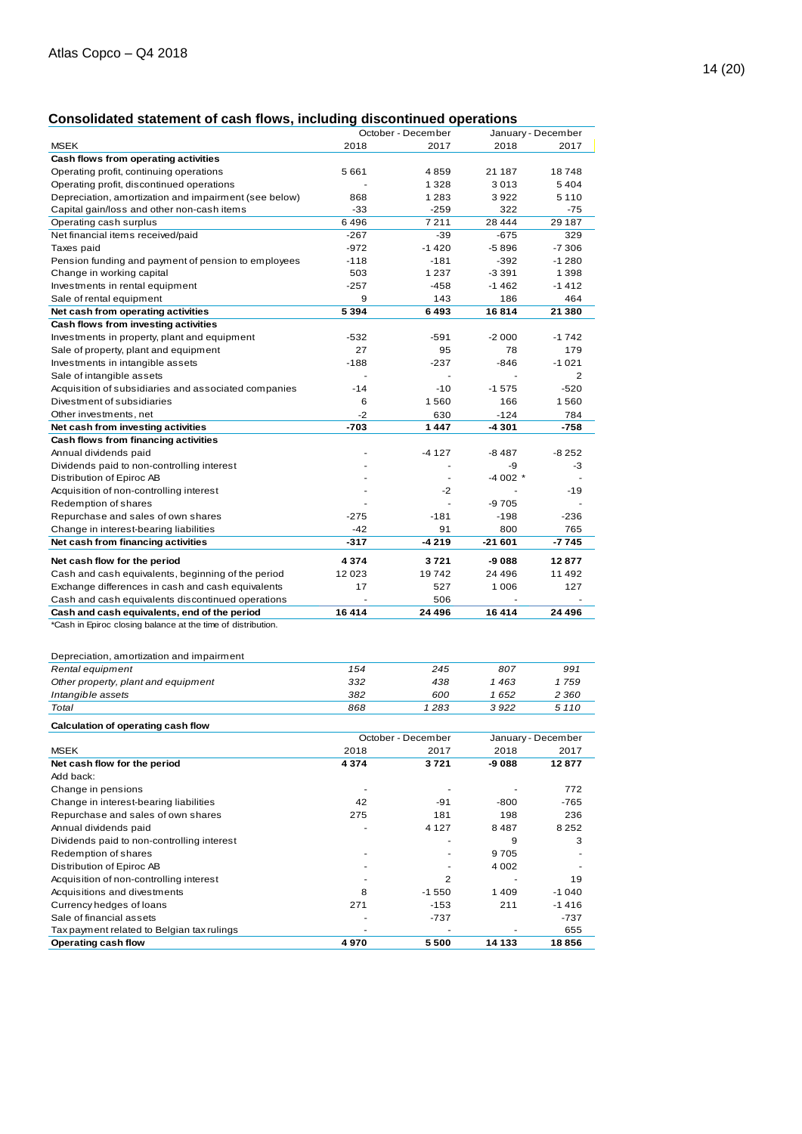# **Consolidated statement of cash flows, including discontinued operations**

|                                                                          |         | October - December |                          | January - December |
|--------------------------------------------------------------------------|---------|--------------------|--------------------------|--------------------|
| MSEK                                                                     | 2018    | 2017               | 2018                     | 2017               |
| Cash flows from operating activities                                     |         |                    |                          |                    |
| Operating profit, continuing operations                                  | 5661    | 4859               | 21 187                   | 18748              |
| Operating profit, discontinued operations                                |         | 1 3 2 8            | 3013                     | 5404               |
| Depreciation, amortization and impairment (see below)                    | 868     | 1 2 8 3            | 3922                     | 5 1 1 0            |
| Capital gain/loss and other non-cash items                               | $-33$   | $-259$             | 322                      | $-75$              |
|                                                                          | 6496    | 7211               | 28 4 4 4                 |                    |
| Operating cash surplus<br>Net financial items received/paid              | $-267$  | $-39$              | $-675$                   | 29 187<br>329      |
|                                                                          |         | $-1420$            |                          |                    |
| Taxes paid                                                               | -972    |                    | -5896                    | -7 306             |
| Pension funding and payment of pension to employees                      | $-118$  | $-181$             | $-392$                   | $-1280$            |
| Change in working capital                                                | 503     | 1 2 3 7            | -3 391                   | 1 3 9 8            |
| Investments in rental equipment                                          | $-257$  | -458               | $-1462$                  | $-1412$            |
| Sale of rental equipment                                                 | 9       | 143                | 186                      | 464                |
| Net cash from operating activities                                       | 5 3 9 4 | 6493               | 16814                    | 21 380             |
| Cash flows from investing activities                                     |         |                    |                          |                    |
| Investments in property, plant and equipment                             | $-532$  | -591               | $-2000$                  | $-1742$            |
| Sale of property, plant and equipment                                    | 27      | 95                 | 78                       | 179                |
| Investments in intangible assets                                         | $-188$  | $-237$             | $-846$                   | $-1021$            |
| Sale of intangible assets                                                |         |                    |                          | 2                  |
| Acquisition of subsidiaries and associated companies                     | $-14$   | $-10$              | $-1575$                  | $-520$             |
| Divestment of subsidiaries                                               | 6       | 1560               | 166                      | 1560               |
| Other investments, net                                                   | $-2$    | 630                | $-124$                   | 784                |
| Net cash from investing activities                                       | $-703$  | 1447               | -4 301                   | -758               |
| Cash flows from financing activities                                     |         |                    |                          |                    |
| Annual dividends paid                                                    |         | $-4127$            | $-8487$                  | $-8252$            |
| Dividends paid to non-controlling interest                               |         | ä,                 | -9                       | -3                 |
| Distribution of Epiroc AB                                                |         | $\sim$             | $-4002$ *                |                    |
| Acquisition of non-controlling interest                                  |         | $-2$               |                          | $-19$              |
| Redemption of shares                                                     |         |                    | -9 705                   |                    |
| Repurchase and sales of own shares                                       | $-275$  | $-181$             | $-198$                   | $-236$             |
| Change in interest-bearing liabilities                                   | $-42$   | 91                 | 800                      | 765                |
| Net cash from financing activities                                       | $-317$  | $-4219$            | $-21601$                 | $-7745$            |
|                                                                          |         |                    |                          |                    |
| Net cash flow for the period                                             | 4 3 7 4 | 3721               | -9 088                   | 12877              |
| Cash and cash equivalents, beginning of the period                       | 12023   | 19742              | 24 4 9 6                 | 11 492             |
| Exchange differences in cash and cash equivalents                        | 17      | 527                | 1 0 0 6                  | 127                |
| Cash and cash equivalents discontinued operations                        |         | 506                |                          |                    |
| Cash and cash equivalents, end of the period                             | 16414   | 24 496             | 16414                    | 24 496             |
| *Cash in Epiroc closing balance at the time of distribution.             |         |                    |                          |                    |
|                                                                          |         |                    |                          |                    |
| Depreciation, amortization and impairment                                |         |                    |                          |                    |
| Rental equipment                                                         | 154     | 245                | 807                      | 991                |
| Other property, plant and equipment                                      | 332     | 438                | 1463                     | 1759               |
|                                                                          | 382     | 600                | 1652                     | 2 3 6 0            |
| Intangible assets                                                        |         |                    | 3922                     |                    |
| Total                                                                    | 868     | 1283               |                          | 5 1 1 0            |
| Calculation of operating cash flow                                       |         |                    |                          |                    |
|                                                                          |         | October - December |                          | January - December |
| <b>MSEK</b>                                                              | 2018    | 2017               | 2018                     | 2017               |
| Net cash flow for the period                                             |         |                    |                          |                    |
| Add back:                                                                | 4 3 7 4 | 3721               | -9 088                   | 12877              |
| Change in pensions                                                       |         |                    |                          |                    |
|                                                                          | ÷,      |                    |                          | 772                |
|                                                                          | 42      | -91                |                          |                    |
| Change in interest-bearing liabilities                                   |         |                    | -800                     | $-765$             |
| Repurchase and sales of own shares                                       | 275     | 181                | 198                      | 236                |
| Annual dividends paid                                                    |         | 4 1 2 7            | 8487                     | 8 2 5 2            |
| Dividends paid to non-controlling interest                               |         |                    | 9                        | 3                  |
| Redemption of shares                                                     |         | $\blacksquare$     | 9705                     | $\overline{a}$     |
| Distribution of Epiroc AB                                                |         |                    | 4 0 0 2                  |                    |
| Acquisition of non-controlling interest                                  | ä,      | $\overline{2}$     | $\overline{\phantom{a}}$ | 19                 |
| Acquisitions and divestments                                             | 8       | $-1550$            | 1409                     | $-1040$            |
| Currency hedges of loans                                                 | 271     | $-153$             | 211                      | $-1416$            |
| Sale of financial assets                                                 |         | -737               |                          | -737               |
| Tax payment related to Belgian tax rulings<br><b>Operating cash flow</b> | 4970    | 5500               | 14 133                   | 655<br>18856       |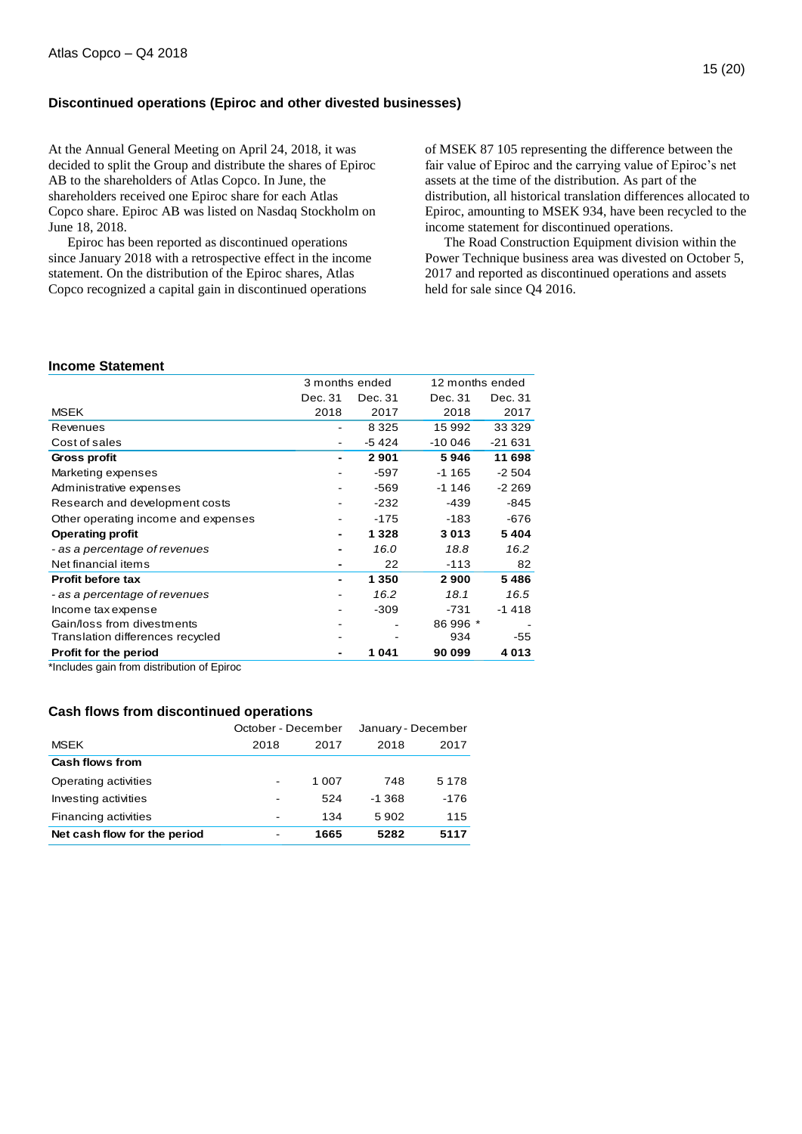# **Discontinued operations (Epiroc and other divested businesses)**

At the Annual General Meeting on April 24, 2018, it was decided to split the Group and distribute the shares of Epiroc AB to the shareholders of Atlas Copco. In June, the shareholders received one Epiroc share for each Atlas Copco share. Epiroc AB was listed on Nasdaq Stockholm on June 18, 2018.

Epiroc has been reported as discontinued operations since January 2018 with a retrospective effect in the income statement. On the distribution of the Epiroc shares, Atlas Copco recognized a capital gain in discontinued operations

of MSEK 87 105 representing the difference between the fair value of Epiroc and the carrying value of Epiroc's net assets at the time of the distribution. As part of the distribution, all historical translation differences allocated to Epiroc, amounting to MSEK 934, have been recycled to the income statement for discontinued operations.

The Road Construction Equipment division within the Power Technique business area was divested on October 5, 2017 and reported as discontinued operations and assets held for sale since Q4 2016.

#### **Income Statement**

|                                     | 3 months ended |         | 12 months ended |         |
|-------------------------------------|----------------|---------|-----------------|---------|
|                                     | Dec. 31        | Dec. 31 | Dec. 31         | Dec. 31 |
| <b>MSEK</b>                         | 2018           | 2017    | 2018            | 2017    |
| Revenues                            |                | 8 3 2 5 | 15 992          | 33 3 29 |
| Cost of sales                       |                | -5424   | -10 046         | -21 631 |
| Gross profit                        |                | 2901    | 5946            | 11 698  |
| Marketing expenses                  |                | $-597$  | -1 165          | $-2504$ |
| Administrative expenses             |                | $-569$  | $-1146$         | $-2269$ |
| Research and development costs      |                | $-232$  | -439            | -845    |
| Other operating income and expenses |                | -175    | -183            | $-676$  |
| <b>Operating profit</b>             |                | 1 328   | 3013            | 5404    |
| - as a percentage of revenues       |                | 16.0    | 18.8            | 16.2    |
| Net financial items                 |                | 22      | -113            | 82      |
| <b>Profit before tax</b>            |                | 1 350   | 2900            | 5486    |
| - as a percentage of revenues       |                | 16.2    | 18.1            | 16.5    |
| Income tax expense                  |                | $-309$  | $-731$          | $-1418$ |
| Gain/loss from divestments          |                |         | 86 996 *        |         |
| Translation differences recycled    |                |         | 934             | -55     |
| <b>Profit for the period</b>        |                | 1041    | 90 099          | 4 0 1 3 |

\*Includes gain from distribution of Epiroc

#### **Cash flows from discontinued operations**

|                              | October - December       |       | January - December |         |  |
|------------------------------|--------------------------|-------|--------------------|---------|--|
| <b>MSEK</b>                  | 2018                     | 2017  | 2018               | 2017    |  |
| Cash flows from              |                          |       |                    |         |  |
| Operating activities         | $\overline{\phantom{a}}$ | 1 007 | 748                | 5 1 7 8 |  |
| Investing activities         | $\overline{\phantom{0}}$ | 524   | $-1.368$           | $-176$  |  |
| Financing activities         | $\overline{\phantom{0}}$ | 134   | 5902               | 115     |  |
| Net cash flow for the period | $\overline{\phantom{a}}$ | 1665  | 5282               | 5117    |  |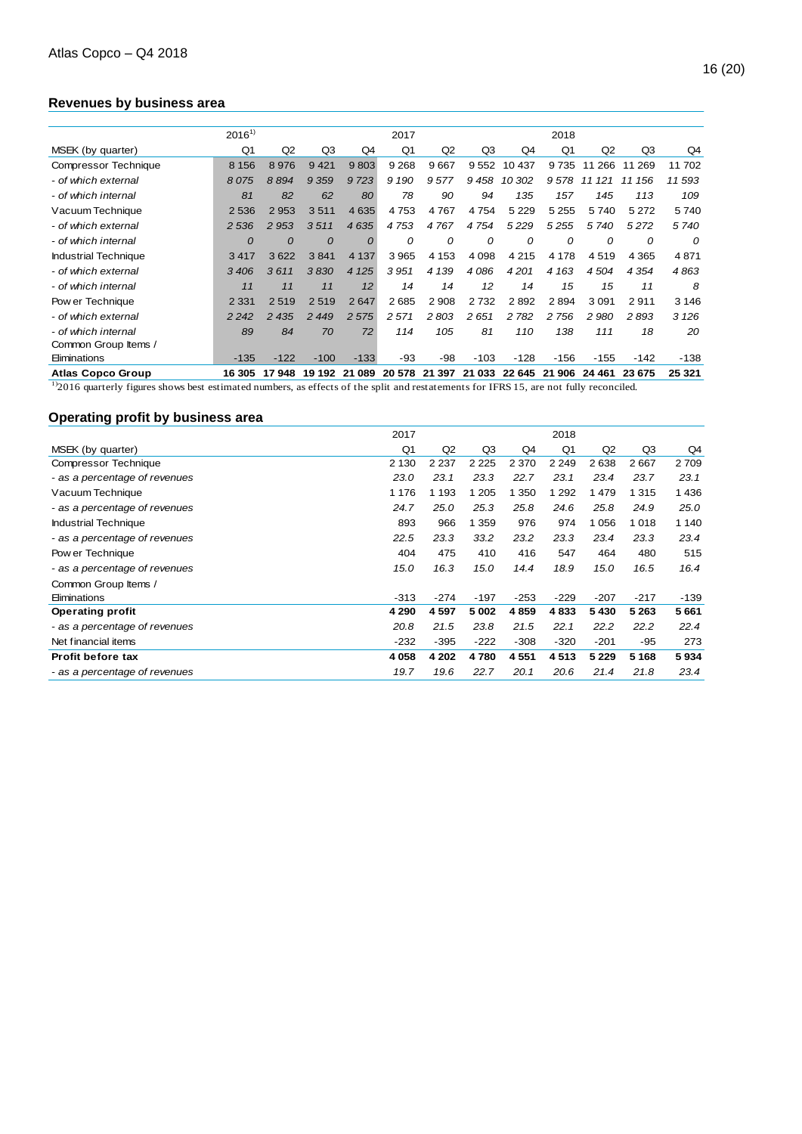# **Revenues by business area**

|                             | $2016^{1}$                                                                                                                                   |                |           |           | 2017           |         |         |         | 2018           |           |           |          |
|-----------------------------|----------------------------------------------------------------------------------------------------------------------------------------------|----------------|-----------|-----------|----------------|---------|---------|---------|----------------|-----------|-----------|----------|
| MSEK (by quarter)           | Q <sub>1</sub>                                                                                                                               | Q <sub>2</sub> | Q3        | Q4        | Q <sub>1</sub> | Q2      | Q3      | Q4      | Q <sub>1</sub> | Q2        | Q3        | Q4       |
| <b>Compressor Technique</b> | 8 1 5 6                                                                                                                                      | 8976           | 9421      | 9803      | 9 2 6 8        | 9667    | 9552    | 10 437  | 9735           | 11 266    | 11 269    | 11 702   |
| - of which external         | 8075                                                                                                                                         | 8894           | 9 3 5 9   | 9723      | 9 1 9 0        | 9577    | 9458    | 10 302  | 9578           | 121<br>11 | 156<br>11 | 11593    |
| - of which internal         | 81                                                                                                                                           | 82             | 62        | 80        | 78             | 90      | 94      | 135     | 157            | 145       | 113       | 109      |
| Vacuum Technique            | 2536                                                                                                                                         | 2953           | 3511      | 4 6 3 5   | 4753           | 4767    | 4754    | 5 2 2 9 | 5 2 5 5        | 5740      | 5 2 7 2   | 5740     |
| - of which external         | 2 5 3 6                                                                                                                                      | 2 9 5 3        | 3511      | 4635      | 4753           | 4767    | 4754    | 5229    | 5 2 5 5        | 5740      | 5272      | 5740     |
| - of which internal         | $\Omega$                                                                                                                                     | $\Omega$       | 0         | $\Omega$  | 0              | 0       | 0       | 0       | 0              | 0         | 0         | $\Omega$ |
| <b>Industrial Technique</b> | 3417                                                                                                                                         | 3622           | 3841      | 4 1 3 7   | 3 9 6 5        | 4 1 5 3 | 4 0 9 8 | 4 2 1 5 | 4 1 7 8        | 4519      | 4 3 6 5   | 4871     |
| - of which external         | 3406                                                                                                                                         | 3611           | 3830      | 4 1 2 5   | 3951           | 4 1 3 9 | 4086    | 4201    | 4 1 6 3        | 4504      | 4 3 5 4   | 4863     |
| - of which internal         | 11                                                                                                                                           | 11             | 11        | 12        | 14             | 14      | 12      | 14      | 15             | 15        | 11        | 8        |
| Pow er Technique            | 2 3 3 1                                                                                                                                      | 2519           | 2519      | 2647      | 2685           | 2 9 0 8 | 2732    | 2892    | 2894           | 3 0 9 1   | 2911      | 3 1 4 6  |
| - of which external         | 2 2 4 2                                                                                                                                      | 2 4 3 5        | 2 4 4 9   | 2 5 7 5   | 2 5 7 1        | 2803    | 2651    | 2 7 8 2 | 2 7 5 6        | 2 9 8 0   | 2893      | 3 1 2 6  |
| - of which internal         | 89                                                                                                                                           | 84             | 70        | 72        | 114            | 105     | 81      | 110     | 138            | 111       | 18        | 20       |
| Common Group Items /        |                                                                                                                                              |                |           |           |                |         |         |         |                |           |           |          |
| Eliminations                | $-135$                                                                                                                                       | $-122$         | $-100$    | $-133$    | $-93$          | $-98$   | $-103$  | $-128$  | $-156$         | $-155$    | $-142$    | $-138$   |
| <b>Atlas Copco Group</b>    | 16 305                                                                                                                                       | 17948          | 192<br>19 | 089<br>21 | 20 578         | 21 397  | 21 033  | 22 645  | 21 906         | 24 4 61   | 23 675    | 25 321   |
|                             | $^{12}$ 2016 quarterly figures shows best estimated numbers, as effects of the split and restatements for IFRS 15, are not fully reconciled. |                |           |           |                |         |         |         |                |           |           |          |

# **Operating profit by business area**

|                               | 2017           |         |         |         | 2018           |         |         |         |
|-------------------------------|----------------|---------|---------|---------|----------------|---------|---------|---------|
| MSEK (by quarter)             | Q <sub>1</sub> | Q2      | Q3      | Q4      | Q <sub>1</sub> | Q2      | Q3      | Q4      |
| Compressor Technique          | 2 1 3 0        | 2 2 3 7 | 2 2 2 5 | 2 3 7 0 | 2 2 4 9        | 2638    | 2667    | 2709    |
| - as a percentage of revenues | 23.0           | 23.1    | 23.3    | 22.7    | 23.1           | 23.4    | 23.7    | 23.1    |
| Vacuum Technique              | 1 1 7 6        | 1 1 9 3 | 1 2 0 5 | 1 350   | 1 2 9 2        | 1479    | 1 3 1 5 | 1 4 3 6 |
| - as a percentage of revenues | 24.7           | 25.0    | 25.3    | 25.8    | 24.6           | 25.8    | 24.9    | 25.0    |
| <b>Industrial Technique</b>   | 893            | 966     | 1 3 5 9 | 976     | 974            | 1056    | 1018    | 1 140   |
| - as a percentage of revenues | 22.5           | 23.3    | 33.2    | 23.2    | 23.3           | 23.4    | 23.3    | 23.4    |
| Pow er Technique              | 404            | 475     | 410     | 416     | 547            | 464     | 480     | 515     |
| - as a percentage of revenues | 15.0           | 16.3    | 15.0    | 14.4    | 18.9           | 15.0    | 16.5    | 16.4    |
| Common Group Items /          |                |         |         |         |                |         |         |         |
| Eliminations                  | $-313$         | $-274$  | $-197$  | $-253$  | $-229$         | $-207$  | $-217$  | $-139$  |
| <b>Operating profit</b>       | 4 2 9 0        | 4597    | 5 0 0 2 | 4859    | 4833           | 5430    | 5 2 6 3 | 5661    |
| - as a percentage of revenues | 20.8           | 21.5    | 23.8    | 21.5    | 22.1           | 22.2    | 22.2    | 22.4    |
| Net financial items           | $-232$         | $-395$  | $-222$  | $-308$  | $-320$         | $-201$  | -95     | 273     |
| <b>Profit before tax</b>      | 4 0 5 8        | 4 202   | 4780    | 4551    | 4513           | 5 2 2 9 | 5 1 6 8 | 5934    |
| - as a percentage of revenues | 19.7           | 19.6    | 22.7    | 20.1    | 20.6           | 21.4    | 21.8    | 23.4    |
|                               |                |         |         |         |                |         |         |         |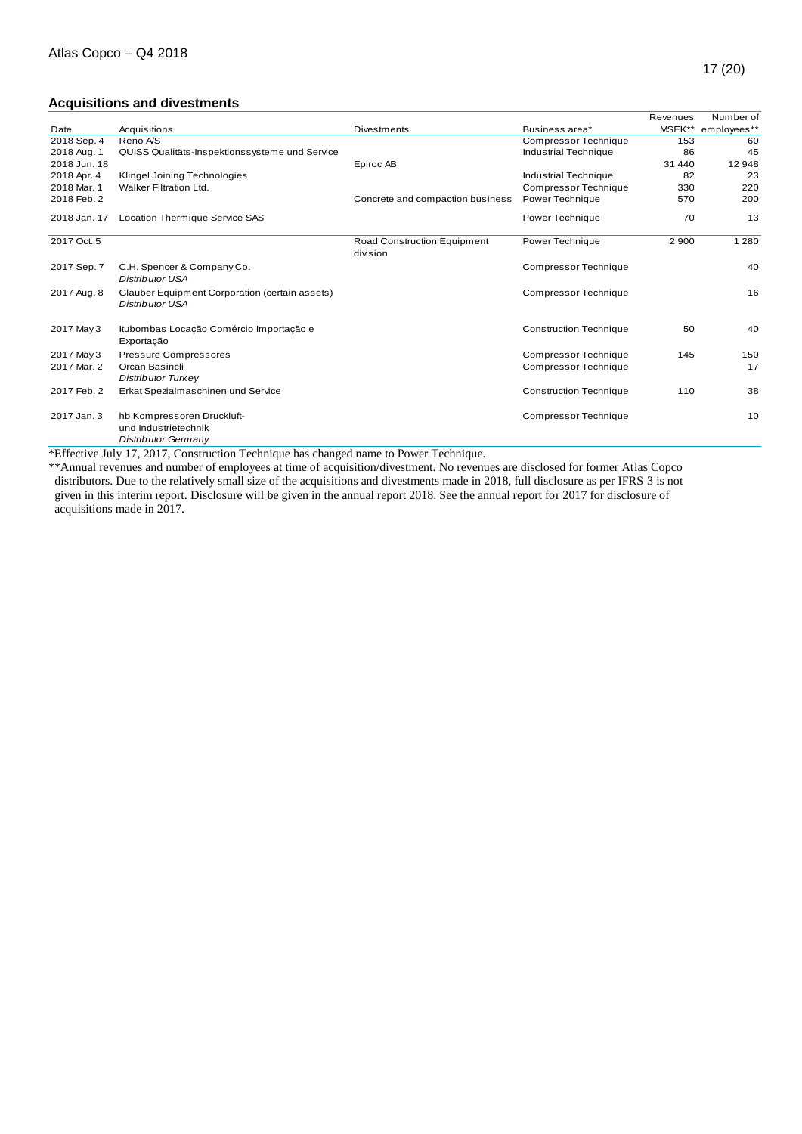# **Acquisitions and divestments**

|              |                                                                           |                                         |                               |          | $\cdots$ $\cdots$ |
|--------------|---------------------------------------------------------------------------|-----------------------------------------|-------------------------------|----------|-------------------|
|              | <b>Acquisitions and divestments</b>                                       |                                         |                               |          |                   |
|              |                                                                           |                                         |                               | Revenues | Number of         |
| Date         | Acquisitions                                                              | Divestments                             | Business area*                | MSEK**   | employees**       |
| 2018 Sep. 4  | Reno A/S                                                                  |                                         | <b>Compressor Technique</b>   | 153      | 60                |
| 2018 Aug. 1  | QUISS Qualitäts-Inspektionssysteme und Service                            |                                         | Industrial Technique          | 86       | 45                |
| 2018 Jun. 18 |                                                                           | Epiroc AB                               |                               | 31 440   | 12948             |
| 2018 Apr. 4  | Klingel Joining Technologies                                              |                                         | <b>Industrial Technique</b>   | 82       | 23                |
| 2018 Mar. 1  | Walker Filtration Ltd.                                                    |                                         | <b>Compressor Technique</b>   | 330      | 220               |
| 2018 Feb. 2  |                                                                           | Concrete and compaction business        | Power Technique               | 570      | 200               |
| 2018 Jan. 17 | Location Thermique Service SAS                                            |                                         | Power Technique               | 70       | 13                |
| 2017 Oct. 5  |                                                                           | Road Construction Equipment<br>division | Power Technique               | 2 9 0 0  | 1 2 8 0           |
| 2017 Sep. 7  | C.H. Spencer & Company Co.<br>Distributor USA                             |                                         | <b>Compressor Technique</b>   |          | 40                |
| 2017 Aug. 8  | Glauber Equipment Corporation (certain assets)<br><b>Distributor USA</b>  |                                         | <b>Compressor Technique</b>   |          | 16                |
| 2017 May 3   | Itubombas Locação Comércio Importação e<br>Exportação                     |                                         | <b>Construction Technique</b> | 50       | 40                |
| 2017 May 3   | <b>Pressure Compressores</b>                                              |                                         | <b>Compressor Technique</b>   | 145      | 150               |
| 2017 Mar. 2  | Orcan Basincli<br><b>Distributor Turkey</b>                               |                                         | <b>Compressor Technique</b>   |          | 17                |
| 2017 Feb. 2  | Erkat Spezialmaschinen und Service                                        |                                         | <b>Construction Technique</b> | 110      | 38                |
| 2017 Jan. 3  | hb Kompressoren Druckluft-<br>und Industrietechnik<br>Distributor Germany |                                         | <b>Compressor Technique</b>   |          | 10                |

\*Effective July 17, 2017, Construction Technique has changed name to Power Technique.

\*\*Annual revenues and number of employees at time of acquisition/divestment. No revenues are disclosed for former Atlas Copco distributors. Due to the relatively small size of the acquisitions and divestments made in 2018, full disclosure as per IFRS 3 is not given in this interim report. Disclosure will be given in the annual report 2018. See the annual report for 2017 for disclosure of acquisitions made in 2017.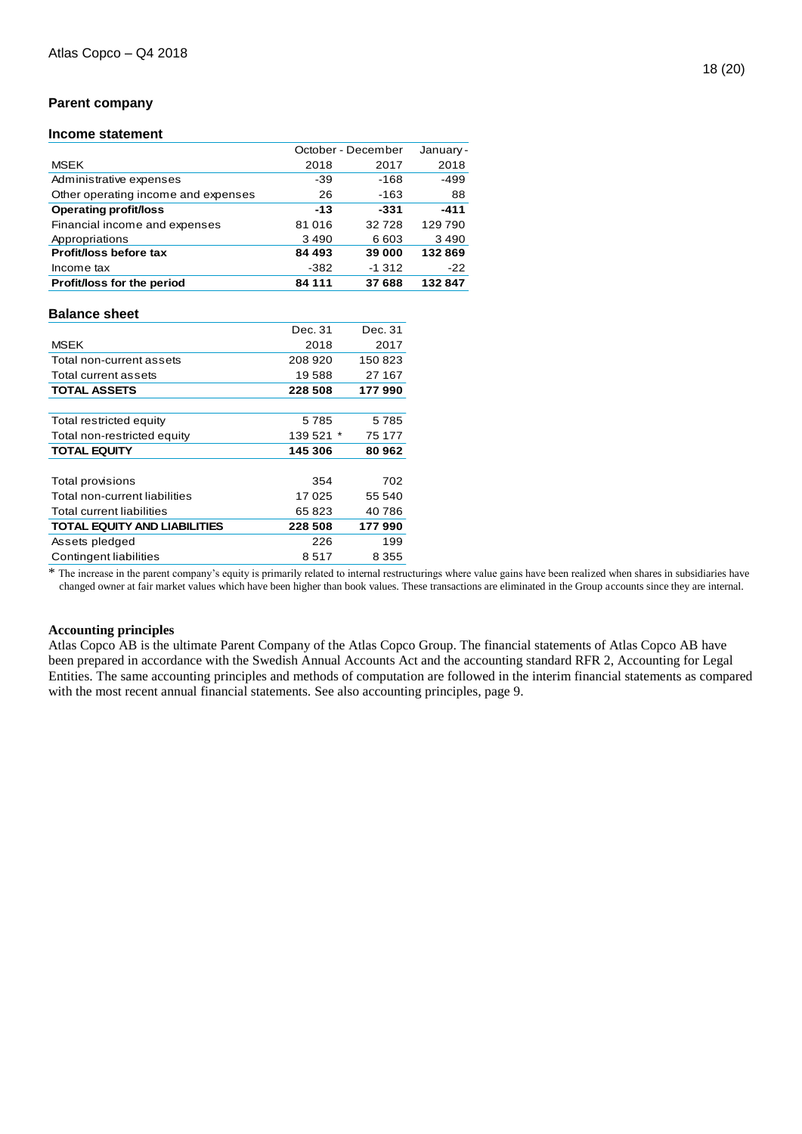# **Parent company**

### **Income statement**

|                                     | October - December |         | January- |
|-------------------------------------|--------------------|---------|----------|
| <b>MSEK</b>                         | 2018               | 2017    | 2018     |
| Administrative expenses             | -39                | $-168$  | $-499$   |
| Other operating income and expenses | 26                 | $-163$  | 88       |
| <b>Operating profit/loss</b>        | $-13$              | -331    | $-411$   |
| Financial income and expenses       | 81 016             | 32728   | 129790   |
| Appropriations                      | 3490               | 6 603   | 3490     |
| Profit/loss before tax              | 84 493             | 39 000  | 132869   |
| Income tax                          | $-382$             | $-1312$ | $-22$    |
| Profit/loss for the period          | 84 111             | 37 688  | 132847   |
|                                     |                    |         |          |

#### **Balance sheet**

|                                     | Dec. 31   | Dec. 31 |
|-------------------------------------|-----------|---------|
| <b>MSEK</b>                         | 2018      | 2017    |
| Total non-current assets            | 208 920   | 150823  |
| Total current assets                | 19588     | 27 167  |
| <b>TOTAL ASSETS</b>                 | 228 508   | 177990  |
|                                     |           |         |
| Total restricted equity             | 5785      | 5785    |
| Total non-restricted equity         | 139 521 * | 75 177  |
| <b>TOTAL EQUITY</b>                 | 145 306   | 80 962  |
|                                     |           |         |
| Total provisions                    | 354       | 702     |
| Total non-current liabilities       | 17025     | 55 540  |
| Total current liabilities           | 65823     | 40786   |
| <b>TOTAL EQUITY AND LIABILITIES</b> | 228 508   | 177 990 |
| Assets pledged                      | 226       | 199     |
| Contingent liabilities              | 8517      | 8 3 5 5 |
|                                     |           |         |

\* The increase in the parent company's equity is primarily related to internal restructurings where value gains have been realized when shares in subsidiaries have changed owner at fair market values which have been higher than book values. These transactions are eliminated in the Group accounts since they are internal.

#### **Accounting principles**

Atlas Copco AB is the ultimate Parent Company of the Atlas Copco Group. The financial statements of Atlas Copco AB have been prepared in accordance with the Swedish Annual Accounts Act and the accounting standard RFR 2, Accounting for Legal Entities. The same accounting principles and methods of computation are followed in the interim financial statements as compared with the most recent annual financial statements. See also accounting principles, page 9.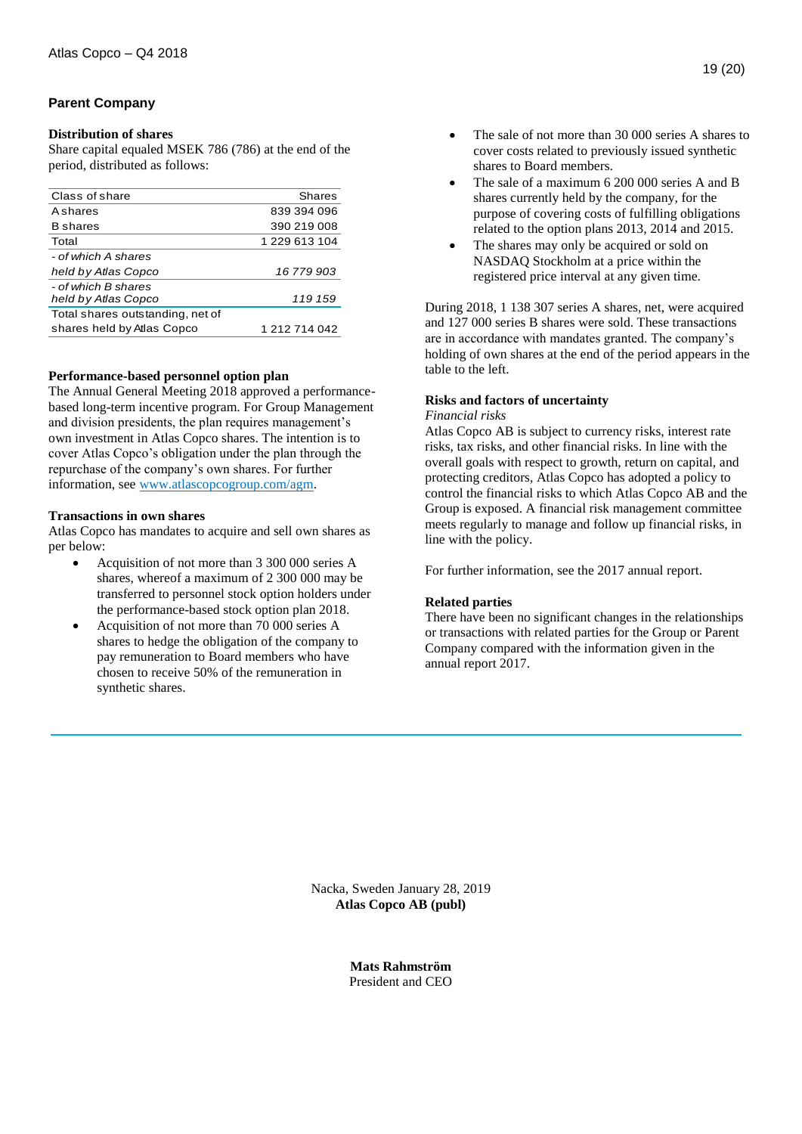# **Parent Company**

# **Distribution of shares**

Share capital equaled MSEK 786 (786) at the end of the period, distributed as follows:

| Class of share                   | Shares        |
|----------------------------------|---------------|
| <b>A</b> shares                  | 839 394 096   |
| <b>B</b> shares                  | 390 219 008   |
| Total                            | 1 229 613 104 |
| - of which A shares              |               |
| held by Atlas Copco              | 16 779 903    |
| - of which B shares              |               |
| held by Atlas Copco              | 119 159       |
| Total shares outstanding, net of |               |
| shares held by Atlas Copco       | 1 212 714 042 |
|                                  |               |

# **Performance-based personnel option plan**

The Annual General Meeting 2018 approved a performancebased long-term incentive program. For Group Management and division presidents, the plan requires management's own investment in Atlas Copco shares. The intention is to cover Atlas Copco's obligation under the plan through the repurchase of the company's own shares. For further information, see [www.atlascopcogroup.com/agm.](http://www.atlascopcogroup.com/agm)

#### **Transactions in own shares**

Atlas Copco has mandates to acquire and sell own shares as per below:

- Acquisition of not more than 3 300 000 series A shares, whereof a maximum of 2 300 000 may be transferred to personnel stock option holders under the performance-based stock option plan 2018.
- Acquisition of not more than 70 000 series A shares to hedge the obligation of the company to pay remuneration to Board members who have chosen to receive 50% of the remuneration in synthetic shares.
- The sale of not more than 30 000 series A shares to cover costs related to previously issued synthetic shares to Board members.
- The sale of a maximum 6 200 000 series A and B shares currently held by the company, for the purpose of covering costs of fulfilling obligations related to the option plans 2013, 2014 and 2015.
- The shares may only be acquired or sold on NASDAQ Stockholm at a price within the registered price interval at any given time.

During 2018, 1 138 307 series A shares, net, were acquired and 127 000 series B shares were sold. These transactions are in accordance with mandates granted. The company's holding of own shares at the end of the period appears in the table to the left.

# **Risks and factors of uncertainty**

#### *Financial risks*

Atlas Copco AB is subject to currency risks, interest rate risks, tax risks, and other financial risks. In line with the overall goals with respect to growth, return on capital, and protecting creditors, Atlas Copco has adopted a policy to control the financial risks to which Atlas Copco AB and the Group is exposed. A financial risk management committee meets regularly to manage and follow up financial risks, in line with the policy.

For further information, see the 2017 annual report.

# **Related parties**

There have been no significant changes in the relationships or transactions with related parties for the Group or Parent Company compared with the information given in the annual report 2017.

Nacka, Sweden January 28, 2019 **Atlas Copco AB (publ)**

> **Mats Rahmström** President and CEO